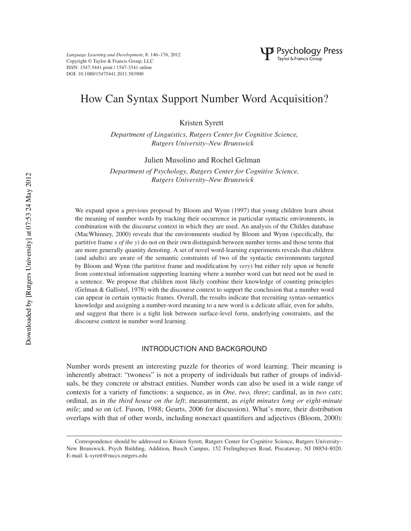# How Can Syntax Support Number Word Acquisition?

Kristen Syrett

*Department of Linguistics, Rutgers Center for Cognitive Science, Rutgers University–New Brunswick*

Julien Musolino and Rochel Gelman

*Department of Psychology, Rutgers Center for Cognitive Science, Rutgers University–New Brunswick*

We expand upon a previous proposal by Bloom and Wynn (1997) that young children learn about the meaning of number words by tracking their occurrence in particular syntactic environments, in combination with the discourse context in which they are used. An analysis of the Childes database (MacWhinney, 2000) reveals that the environments studied by Bloom and Wynn (specifically, the partitive frame *x of the y*) do not on their own distinguish between number terms and those terms that are more generally quantity denoting. A set of novel word-learning experiments reveals that children (and adults) are aware of the semantic constraints of two of the syntactic environments targeted by Bloom and Wynn (the partitive frame and modification by *very*) but either rely upon or benefit from contextual information supporting learning where a number word can but need not be used in a sentence. We propose that children most likely combine their knowledge of counting principles (Gelman & Gallistel, 1978) with the discourse context to support the conclusion that a number word can appear in certain syntactic frames. Overall, the results indicate that recruiting syntax-semantics knowledge and assigning a number-word meaning to a new word is a delicate affair, even for adults, and suggest that there is a tight link between surface-level form, underlying constraints, and the discourse context in number word learning.

# INTRODUCTION AND BACKGROUND

Number words present an interesting puzzle for theories of word learning. Their meaning is inherently abstract: "twoness" is not a property of individuals but rather of groups of individuals, be they concrete or abstract entities. Number words can also be used in a wide range of contexts for a variety of functions: a sequence, as in *One, two, three*; cardinal, as in *two cats*; ordinal, as in *the third house on the left*; measurement, as *eight minutes long or eight-minute mile*; and so on (cf. Fuson, 1988; Geurts, 2006 for discussion). What's more, their distribution overlaps with that of other words, including nonexact quantifiers and adjectives (Bloom, 2000):

Correspondence should be addressed to Kristen Syrett, Rutgers Center for Cognitive Science, Rutgers University– New Brunswick, Psych Building, Addition, Busch Campus, 152 Frelinghuysen Road, Piscataway, NJ 08854-8020. E-mail: k-syrett@ruccs.rutgers.edu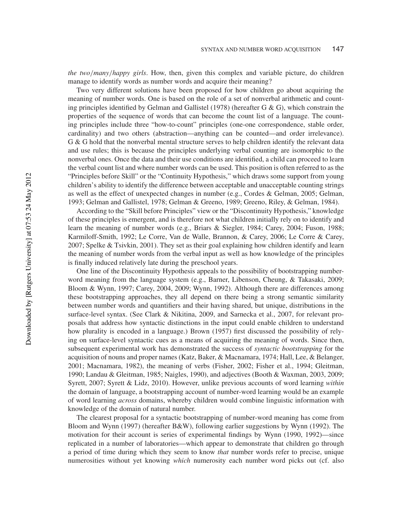*the two*/*many*/*happy girls*. How, then, given this complex and variable picture, do children manage to identify words as number words and acquire their meaning?

Two very different solutions have been proposed for how children go about acquiring the meaning of number words. One is based on the role of a set of nonverbal arithmetic and counting principles identified by Gelman and Gallistel (1978) (hereafter G & G), which constrain the properties of the sequence of words that can become the count list of a language. The counting principles include three "how-to-count" principles (one-one correspondence, stable order, cardinality) and two others (abstraction—anything can be counted—and order irrelevance). G & G hold that the nonverbal mental structure serves to help children identify the relevant data and use rules; this is because the principles underlying verbal counting are isomorphic to the nonverbal ones. Once the data and their use conditions are identified, a child can proceed to learn the verbal count list and where number words can be used. This position is often referred to as the "Principles before Skill" or the "Continuity Hypothesis," which draws some support from young children's ability to identify the difference between acceptable and unacceptable counting strings as well as the effect of unexpected changes in number (e.g., Cordes & Gelman, 2005; Gelman, 1993; Gelman and Gallistel, 1978; Gelman & Greeno, 1989; Greeno, Riley, & Gelman, 1984).

According to the "Skill before Principles" view or the "Discontinuity Hypothesis," knowledge of these principles is emergent, and is therefore not what children initially rely on to identify and learn the meaning of number words (e.g., Briars & Siegler, 1984; Carey, 2004; Fuson, 1988; Karmiloff-Smith, 1992; Le Corre, Van de Walle, Brannon, & Carey, 2006; Le Corre & Carey, 2007; Spelke & Tsivkin, 2001). They set as their goal explaining how children identify and learn the meaning of number words from the verbal input as well as how knowledge of the principles is finally induced relatively late during the preschool years.

One line of the Discontinuity Hypothesis appeals to the possibility of bootstrapping numberword meaning from the language system (e.g., Barner, Libenson, Cheung, & Takasaki, 2009; Bloom & Wynn, 1997; Carey, 2004, 2009; Wynn, 1992). Although there are differences among these bootstrapping approaches, they all depend on there being a strong semantic similarity between number words and quantifiers and their having shared, but unique, distributions in the surface-level syntax. (See Clark & Nikitina, 2009, and Sarnecka et al., 2007, for relevant proposals that address how syntactic distinctions in the input could enable children to understand how plurality is encoded in a language.) Brown (1957) first discussed the possibility of relying on surface-level syntactic cues as a means of acquiring the meaning of words. Since then, subsequent experimental work has demonstrated the success of *syntactic bootstrapping* for the acquisition of nouns and proper names (Katz, Baker, & Macnamara, 1974; Hall, Lee, & Belanger, 2001; Macnamara, 1982), the meaning of verbs (Fisher, 2002; Fisher et al., 1994; Gleitman, 1990; Landau & Gleitman, 1985; Naigles, 1990), and adjectives (Booth & Waxman, 2003, 2009; Syrett, 2007; Syrett & Lidz, 2010). However, unlike previous accounts of word learning *within* the domain of language, a bootstrapping account of number-word learning would be an example of word learning *across* domains, whereby children would combine linguistic information with knowledge of the domain of natural number.

The clearest proposal for a syntactic bootstrapping of number-word meaning has come from Bloom and Wynn (1997) (hereafter B&W), following earlier suggestions by Wynn (1992). The motivation for their account is series of experimental findings by Wynn (1990, 1992)—since replicated in a number of laboratories—which appear to demonstrate that children go through a period of time during which they seem to know *that* number words refer to precise, unique numerosities without yet knowing *which* numerosity each number word picks out (cf. also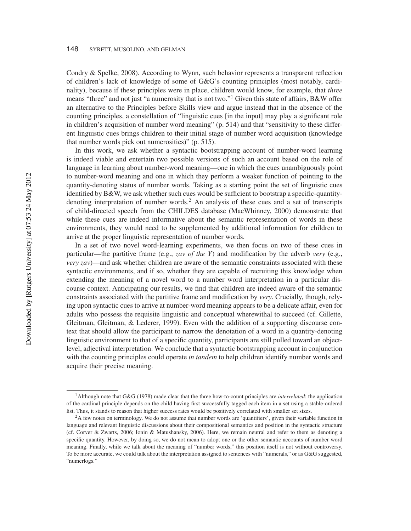Condry & Spelke, 2008). According to Wynn, such behavior represents a transparent reflection of children's lack of knowledge of some of G&G's counting principles (most notably, cardinality), because if these principles were in place, children would know, for example, that *three* means "three" and not just "a numerosity that is not two."1 Given this state of affairs, B&W offer an alternative to the Principles before Skills view and argue instead that in the absence of the counting principles, a constellation of "linguistic cues [in the input] may play a significant role in children's acquisition of number word meaning" (p. 514) and that "sensitivity to these different linguistic cues brings children to their initial stage of number word acquisition (knowledge that number words pick out numerosities)" (p. 515).

In this work, we ask whether a syntactic bootstrapping account of number-word learning is indeed viable and entertain two possible versions of such an account based on the role of language in learning about number-word meaning—one in which the cues unambiguously point to number-word meaning and one in which they perform a weaker function of pointing to the quantity-denoting status of number words. Taking as a starting point the set of linguistic cues identified by B&W, we ask whether such cues would be sufficient to bootstrap a specific-quantitydenoting interpretation of number words.<sup>2</sup> An analysis of these cues and a set of transcripts of child-directed speech from the CHILDES database (MacWhinney, 2000) demonstrate that while these cues are indeed informative about the semantic representation of words in these environments, they would need to be supplemented by additional information for children to arrive at the proper linguistic representation of number words.

In a set of two novel word-learning experiments, we then focus on two of these cues in particular—the partitive frame (e.g., *zav of the Y*) and modification by the adverb *very* (e.g., *very zav*)—and ask whether children are aware of the semantic constraints associated with these syntactic environments, and if so, whether they are capable of recruiting this knowledge when extending the meaning of a novel word to a number word interpretation in a particular discourse context. Anticipating our results, we find that children are indeed aware of the semantic constraints associated with the partitive frame and modification by *very*. Crucially, though, relying upon syntactic cues to arrive at number-word meaning appears to be a delicate affair, even for adults who possess the requisite linguistic and conceptual wherewithal to succeed (cf. Gillette, Gleitman, Gleitman, & Lederer, 1999). Even with the addition of a supporting discourse context that should allow the participant to narrow the denotation of a word in a quantity-denoting linguistic environment to that of a specific quantity, participants are still pulled toward an objectlevel, adjectival interpretation. We conclude that a syntactic bootstrapping account in conjunction with the counting principles could operate *in tandem* to help children identify number words and acquire their precise meaning.

<sup>1</sup>Although note that G&G (1978) made clear that the three how-to-count principles are *interrelated*: the application of the cardinal principle depends on the child having first successfully tagged each item in a set using a stable-ordered list. Thus, it stands to reason that higher success rates would be positively correlated with smaller set sizes.

<sup>&</sup>lt;sup>2</sup>A few notes on terminology. We do not assume that number words are 'quantifiers', given their variable function in language and relevant linguistic discussions about their compositional semantics and position in the syntactic structure (cf. Corver & Zwarts, 2006; Ionin & Matushansky, 2006). Here, we remain neutral and refer to them as denoting a specific quantity. However, by doing so, we do not mean to adopt one or the other semantic accounts of number word meaning. Finally, while we talk about the meaning of "number words," this position itself is not without controversy. To be more accurate, we could talk about the interpretation assigned to sentences with "numerals," or as G&G suggested, "numerlogs."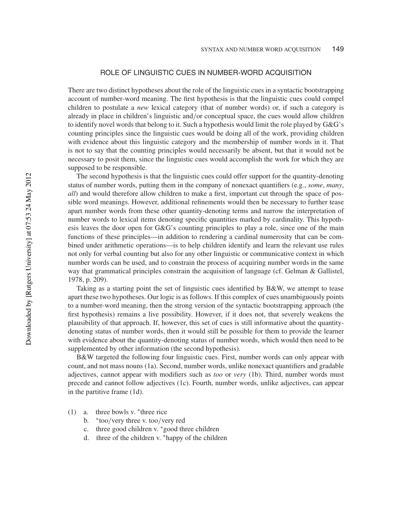# ROLE OF LINGUISTIC CUES IN NUMBER-WORD ACQUISITION

There are two distinct hypotheses about the role of the linguistic cues in a syntactic bootstrapping account of number-word meaning. The first hypothesis is that the linguistic cues could compel children to postulate a *new* lexical category (that of number words) or, if such a category is already in place in children's linguistic and/or conceptual space, the cues would allow children to identify novel words that belong to it. Such a hypothesis would limit the role played by G&G's counting principles since the linguistic cues would be doing all of the work, providing children with evidence about this linguistic category and the membership of number words in it. That is not to say that the counting principles would necessarily be absent, but that it would not be necessary to posit them, since the linguistic cues would accomplish the work for which they are supposed to be responsible.

The second hypothesis is that the linguistic cues could offer support for the quantity-denoting status of number words, putting them in the company of nonexact quantifiers (e.g., *some*, *many*, *all*) and would therefore allow children to make a first, important cut through the space of possible word meanings. However, additional refinements would then be necessary to further tease apart number words from these other quantity-denoting terms and narrow the interpretation of number words to lexical items denoting specific quantities marked by cardinality. This hypothesis leaves the door open for G&G's counting principles to play a role, since one of the main functions of these principles—in addition to rendering a cardinal numerosity that can be combined under arithmetic operations—is to help children identify and learn the relevant use rules not only for verbal counting but also for any other linguistic or communicative context in which number words can be used, and to constrain the process of acquiring number words in the same way that grammatical principles constrain the acquisition of language (cf. Gelman & Gallistel, 1978, p. 209).

Taking as a starting point the set of linguistic cues identified by B&W, we attempt to tease apart these two hypotheses. Our logic is as follows. If this complex of cues unambiguously points to a number-word meaning, then the strong version of the syntactic bootstrapping approach (the first hypothesis) remains a live possibility. However, if it does not, that severely weakens the plausibility of that approach. If, however, this set of cues is still informative about the quantitydenoting status of number words, then it would still be possible for them to provide the learner with evidence about the quantity-denoting status of number words, which would then need to be supplemented by other information (the second hypothesis).

B&W targeted the following four linguistic cues. First, number words can only appear with count, and not mass nouns (1a). Second, number words, unlike nonexact quantifiers and gradable adjectives, cannot appear with modifiers such as *too* or *very* (1b). Third, number words must precede and cannot follow adjectives (1c). Fourth, number words, unlike adjectives, can appear in the partitive frame (1d).

- (1) a. three bowls v. <sup>∗</sup>three rice
	- b. <sup>∗</sup>too/very three v. too/very red
	- c. three good children v. <sup>∗</sup>good three children
	- d. three of the children v. \*happy of the children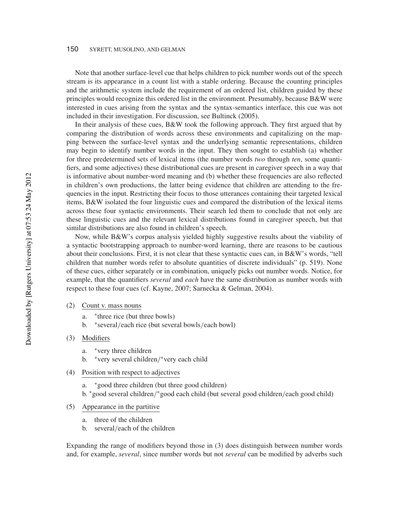#### 150 SYRETT, MUSOLINO, AND GELMAN

Note that another surface-level cue that helps children to pick number words out of the speech stream is its appearance in a count list with a stable ordering. Because the counting principles and the arithmetic system include the requirement of an ordered list, children guided by these principles would recognize this ordered list in the environment. Presumably, because B&W were interested in cues arising from the syntax and the syntax-semantics interface, this cue was not included in their investigation. For discussion, see Bultinck (2005).

In their analysis of these cues, B&W took the following approach. They first argued that by comparing the distribution of words across these environments and capitalizing on the mapping between the surface-level syntax and the underlying semantic representations, children may begin to identify number words in the input. They then sought to establish (a) whether for three predetermined sets of lexical items (the number words *two* through *ten*, some quantifiers, and some adjectives) these distributional cues are present in caregiver speech in a way that is informative about number-word meaning and (b) whether these frequencies are also reflected in children's own productions, the latter being evidence that children are attending to the frequencies in the input. Restricting their focus to those utterances containing their targeted lexical items, B&W isolated the four linguistic cues and compared the distribution of the lexical items across these four syntactic environments. Their search led them to conclude that not only are these linguistic cues and the relevant lexical distributions found in caregiver speech, but that similar distributions are also found in children's speech.

Now, while B&W's corpus analysis yielded highly suggestive results about the viability of a syntactic bootstrapping approach to number-word learning, there are reasons to be cautious about their conclusions. First, it is not clear that these syntactic cues can, in B&W's words, "tell children that number words refer to absolute quantities of discrete individuals" (p. 519). None of these cues, either separately or in combination, uniquely picks out number words. Notice, for example, that the quantifiers *several* and *each* have the same distribution as number words with respect to these four cues (cf. Kayne, 2007; Sarnecka & Gelman, 2004).

- (2) Count v. mass nouns
	- a. <sup>∗</sup>three rice (but three bowls)
	- b. \*several/each rice (but several bowls/each bowl)
- (3) Modifiers
	- a. <sup>∗</sup>very three children
	- b. <sup>∗</sup>very several children/∗very each child
- (4) Position with respect to adjectives
	- a. <sup>∗</sup>good three children (but three good children)
	- b. <sup>∗</sup>good several children/∗good each child (but several good children/each good child)
- (5) Appearance in the partitive
	- a. three of the children
	- b. several/each of the children

Expanding the range of modifiers beyond those in (3) does distinguish between number words and, for example, *several*, since number words but not *several* can be modified by adverbs such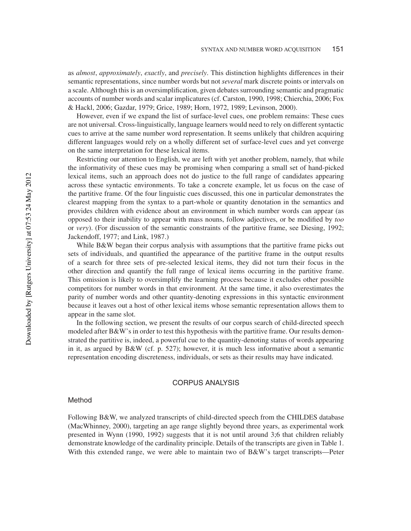as *almost*, *approximately*, *exactly*, and *precisely*. This distinction highlights differences in their semantic representations, since number words but not *several* mark discrete points or intervals on a scale. Although this is an oversimplification, given debates surrounding semantic and pragmatic accounts of number words and scalar implicatures (cf. Carston, 1990, 1998; Chierchia, 2006; Fox & Hackl, 2006; Gazdar, 1979; Grice, 1989; Horn, 1972, 1989; Levinson, 2000).

However, even if we expand the list of surface-level cues, one problem remains: These cues are not universal. Cross-linguistically, language learners would need to rely on different syntactic cues to arrive at the same number word representation. It seems unlikely that children acquiring different languages would rely on a wholly different set of surface-level cues and yet converge on the same interpretation for these lexical items.

Restricting our attention to English, we are left with yet another problem, namely, that while the informativity of these cues may be promising when comparing a small set of hand-picked lexical items, such an approach does not do justice to the full range of candidates appearing across these syntactic environments. To take a concrete example, let us focus on the case of the partitive frame. Of the four linguistic cues discussed, this one in particular demonstrates the clearest mapping from the syntax to a part-whole or quantity denotation in the semantics and provides children with evidence about an environment in which number words can appear (as opposed to their inability to appear with mass nouns, follow adjectives, or be modified by *too* or *very*). (For discussion of the semantic constraints of the partitive frame, see Diesing, 1992; Jackendoff, 1977; and Link, 1987.)

While B&W began their corpus analysis with assumptions that the partitive frame picks out sets of individuals, and quantified the appearance of the partitive frame in the output results of a search for three sets of pre-selected lexical items, they did not turn their focus in the other direction and quantify the full range of lexical items occurring in the partitive frame. This omission is likely to oversimplify the learning process because it excludes other possible competitors for number words in that environment. At the same time, it also overestimates the parity of number words and other quantity-denoting expressions in this syntactic environment because it leaves out a host of other lexical items whose semantic representation allows them to appear in the same slot.

In the following section, we present the results of our corpus search of child-directed speech modeled after B&W's in order to test this hypothesis with the partitive frame. Our results demonstrated the partitive is, indeed, a powerful cue to the quantity-denoting status of words appearing in it, as argued by B&W (cf. p. 527); however, it is much less informative about a semantic representation encoding discreteness, individuals, or sets as their results may have indicated.

# CORPUS ANALYSIS

# Method

Following B&W, we analyzed transcripts of child-directed speech from the CHILDES database (MacWhinney, 2000), targeting an age range slightly beyond three years, as experimental work presented in Wynn (1990, 1992) suggests that it is not until around 3;6 that children reliably demonstrate knowledge of the cardinality principle. Details of the transcripts are given in Table 1. With this extended range, we were able to maintain two of B&W's target transcripts—Peter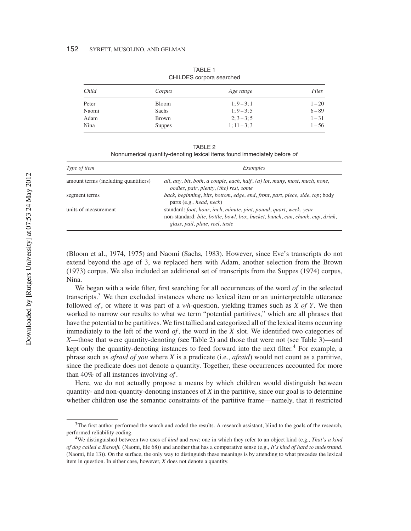| Child | Corpus       | Age range      | Files    |
|-------|--------------|----------------|----------|
| Peter | <b>Bloom</b> | $1:9-3:1$      | $1 - 20$ |
| Naomi | Sachs        | $1:9-3:5$      | $6 - 89$ |
| Adam  | <b>Brown</b> | $2:3-3:5$      | $1 - 31$ |
| Nina  | Suppes       | $1: 11 - 3: 3$ | $1 - 56$ |

TABLE 1 CHILDES corpora searched

Nonnumerical quantity-denoting lexical items found immediately before of

| Type of item                         | Examples                                                                                                                                                                               |  |  |
|--------------------------------------|----------------------------------------------------------------------------------------------------------------------------------------------------------------------------------------|--|--|
| amount terms (including quantifiers) | all, any, bit, both, a couple, each, half, (a) lot, many, most, much, none,<br>oodles, pair, plenty, (the) rest, some                                                                  |  |  |
| segment terms                        | back, beginning, bits, bottom, edge, end, front, part, piece, side, top; body<br>parts (e.g., head, neck)                                                                              |  |  |
| units of measurement                 | standard: foot, hour, inch, minute, pint, pound, quart, week, year<br>non-standard: bite, bottle, bowl, box, bucket, bunch, can, chunk, cup, drink,<br>glass, pail, plate, reel, taste |  |  |

(Bloom et al., 1974, 1975) and Naomi (Sachs, 1983). However, since Eve's transcripts do not extend beyond the age of 3, we replaced hers with Adam, another selection from the Brown (1973) corpus. We also included an additional set of transcripts from the Suppes (1974) corpus, Nina.

We began with a wide filter, first searching for all occurrences of the word *of* in the selected transcripts.<sup>3</sup> We then excluded instances where no lexical item or an uninterpretable utterance followed *of* , or where it was part of a *wh*-question, yielding frames such as *X of Y*. We then worked to narrow our results to what we term "potential partitives," which are all phrases that have the potential to be partitives. We first tallied and categorized all of the lexical items occurring immediately to the left of the word *of* , the word in the *X* slot. We identified two categories of *X*—those that were quantity-denoting (see Table 2) and those that were not (see Table 3)—and kept only the quantity-denoting instances to feed forward into the next filter.<sup>4</sup> For example, a phrase such as *afraid of you* where *X* is a predicate (i.e., *afraid*) would not count as a partitive, since the predicate does not denote a quantity. Together, these occurrences accounted for more than 40% of all instances involving *of* .

Here, we do not actually propose a means by which children would distinguish between quantity- and non-quantity-denoting instances of *X* in the partitive, since our goal is to determine whether children use the semantic constraints of the partitive frame—namely, that it restricted

 $3$ The first author performed the search and coded the results. A research assistant, blind to the goals of the research, performed reliability coding.

<sup>4</sup>We distinguished between two uses of *kind* and *sort*: one in which they refer to an object kind (e.g., *That's a kind of dog called a Basenji.* (Naomi, file 68)) and another that has a comparative sense (e.g., *It's kind of hard to understand.* (Naomi, file 13)). On the surface, the only way to distinguish these meanings is by attending to what precedes the lexical item in question. In either case, however, *X* does not denote a quantity.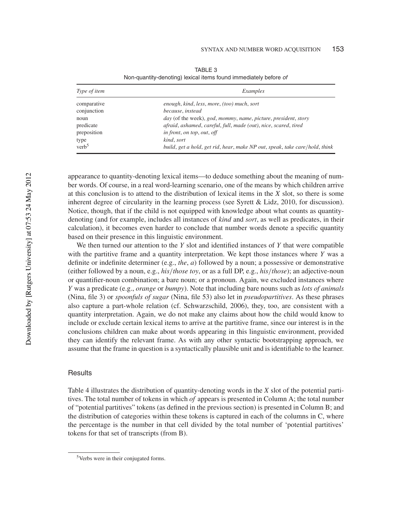| Type of item      | Examples                                                                    |  |  |
|-------------------|-----------------------------------------------------------------------------|--|--|
| comparative       | enough, kind, less, more, (too) much, sort                                  |  |  |
| conjunction       | because, instead                                                            |  |  |
| noun              | day (of the week), god, mommy, name, picture, president, story              |  |  |
| predicate         | afraid, ashamed, careful, full, made (out), nice, scared, tired             |  |  |
| preposition       | in front, on top, out, off                                                  |  |  |
| type              | kind, sort                                                                  |  |  |
| verb <sup>5</sup> | build, get a hold, get rid, hear, make NP out, speak, take care/hold, think |  |  |

TABLE 3 Non-quantity-denoting) lexical items found immediately before of

appearance to quantity-denoting lexical items—to deduce something about the meaning of number words. Of course, in a real word-learning scenario, one of the means by which children arrive at this conclusion is to attend to the distribution of lexical items in the *X* slot, so there is some inherent degree of circularity in the learning process (see Syrett & Lidz, 2010, for discussion). Notice, though, that if the child is not equipped with knowledge about what counts as quantitydenoting (and for example, includes all instances of *kind* and *sort*, as well as predicates, in their calculation), it becomes even harder to conclude that number words denote a specific quantity based on their presence in this linguistic environment.

We then turned our attention to the *Y* slot and identified instances of *Y* that were compatible with the partitive frame and a quantity interpretation. We kept those instances where *Y* was a definite or indefinite determiner (e.g., *the*, *a*) followed by a noun; a possessive or demonstrative (either followed by a noun, e.g., *his*/*those toy*, or as a full DP, e.g., *his*/*those*); an adjective-noun or quantifier-noun combination; a bare noun; or a pronoun. Again, we excluded instances where *Y* was a predicate (e.g., *orange* or *bumpy*). Note that including bare nouns such as *lots of animals* (Nina, file 3) or *spoonfuls of sugar* (Nina, file 53) also let in *pseudopartitives*. As these phrases also capture a part-whole relation (cf. Schwarzschild, 2006), they, too, are consistent with a quantity interpretation. Again, we do not make any claims about how the child would know to include or exclude certain lexical items to arrive at the partitive frame, since our interest is in the conclusions children can make about words appearing in this linguistic environment, provided they can identify the relevant frame. As with any other syntactic bootstrapping approach, we assume that the frame in question is a syntactically plausible unit and is identifiable to the learner.

# **Results**

Table 4 illustrates the distribution of quantity-denoting words in the *X* slot of the potential partitives. The total number of tokens in which *of* appears is presented in Column A; the total number of "potential partitives" tokens (as defined in the previous section) is presented in Column B; and the distribution of categories within these tokens is captured in each of the columns in C, where the percentage is the number in that cell divided by the total number of 'potential partitives' tokens for that set of transcripts (from B).

<sup>5</sup>Verbs were in their conjugated forms.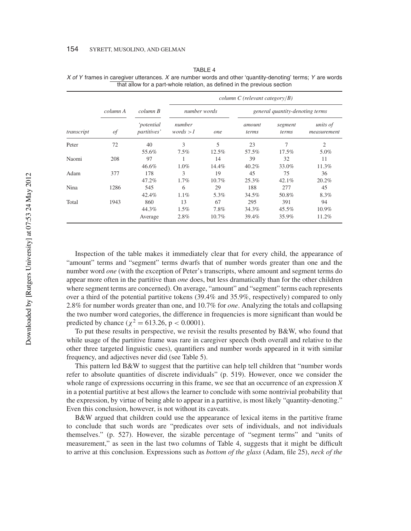|            |            | column B                         | column $C$ (relevant category/ $B$ ) |          |                                 |                  |                         |
|------------|------------|----------------------------------|--------------------------------------|----------|---------------------------------|------------------|-------------------------|
|            | column A   |                                  | number words                         |          | general quantity-denoting terms |                  |                         |
| transcript | $\sigma f$ | 'potential<br><i>partitives'</i> | number<br>words > 1                  | one      | amount<br>terms                 | segment<br>terms | units of<br>measurement |
| Peter      | 72         | 40                               | 3                                    | 5        | 23                              | 7                | $\overline{2}$          |
|            |            | 55.6%                            | 7.5%                                 | 12.5%    | 57.5%                           | 17.5%            | 5.0%                    |
| Naomi      | 208        | 97                               |                                      | 14       | 39                              | 32               | 11                      |
|            |            | 46.6%                            | $1.0\%$                              | 14.4%    | $40.2\%$                        | 33.0%            | 11.3%                   |
| Adam       | 377        | 178                              | 3                                    | 19       | 45                              | 75               | 36                      |
|            |            | 47.2%                            | 1.7%                                 | $10.7\%$ | 25.3%                           | 42.1%            | 20.2%                   |
| Nina       | 1286       | 545                              | 6                                    | 29       | 188                             | 277              | 45                      |
|            |            | 42.4%                            | $1.1\%$                              | 5.3%     | 34.5%                           | 50.8%            | 8.3%                    |
| Total      | 1943       | 860                              | 13                                   | 67       | 295                             | 391              | 94                      |
|            |            | 44.3%                            | $1.5\%$                              | 7.8%     | 34.3%                           | 45.5%            | 10.9%                   |
|            |            | Average                          | 2.8%                                 | 10.7%    | 39.4%                           | 35.9%            | 11.2%                   |

TABLE 4 X of Y frames in caregiver utterances. X are number words and other 'quantity-denoting' terms; Y are words that allow for a part-whole relation, as defined in the previous section

Inspection of the table makes it immediately clear that for every child, the appearance of "amount" terms and "segment" terms dwarfs that of number words greater than one and the number word *one* (with the exception of Peter's transcripts, where amount and segment terms do appear more often in the partitive than *one* does, but less dramatically than for the other children where segment terms are concerned). On average, "amount" and "segment" terms each represents over a third of the potential partitive tokens (39.4% and 35.9%, respectively) compared to only 2.8% for number words greater than one, and 10.7% for *one*. Analyzing the totals and collapsing the two number word categories, the difference in frequencies is more significant than would be predicted by chance ( $\chi^2 = 613.26$ , p < 0.0001).

To put these results in perspective, we revisit the results presented by B&W, who found that while usage of the partitive frame was rare in caregiver speech (both overall and relative to the other three targeted linguistic cues), quantifiers and number words appeared in it with similar frequency, and adjectives never did (see Table 5).

This pattern led B&W to suggest that the partitive can help tell children that "number words refer to absolute quantities of discrete individuals" (p. 519). However, once we consider the whole range of expressions occurring in this frame, we see that an occurrence of an expression *X* in a potential partitive at best allows the learner to conclude with some nontrivial probability that the expression, by virtue of being able to appear in a partitive, is most likely "quantity-denoting." Even this conclusion, however, is not without its caveats.

B&W argued that children could use the appearance of lexical items in the partitive frame to conclude that such words are "predicates over sets of individuals, and not individuals themselves." (p. 527). However, the sizable percentage of "segment terms" and "units of measurement," as seen in the last two columns of Table 4, suggests that it might be difficult to arrive at this conclusion. Expressions such as *bottom of the glass* (Adam, file 25), *neck of the*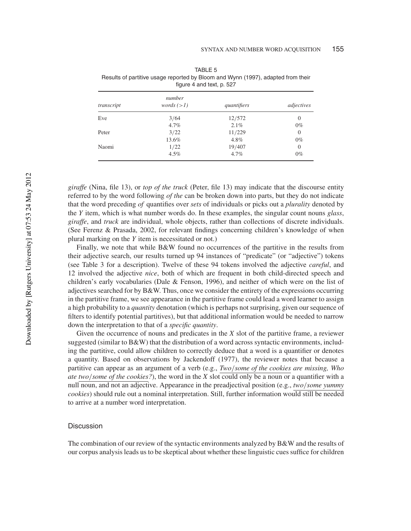| transcript | number<br><i>words</i> $(\geq l)$ | quantifiers | adjectives     |
|------------|-----------------------------------|-------------|----------------|
| Eve        | 3/64                              | 12/572      | $\theta$       |
|            | 4.7%                              | 2.1%        | $0\%$          |
| Peter      | 3/22                              | 11/229      | $\overline{0}$ |
|            | 13.6%                             | 4.8%        | $0\%$          |
| Naomi      | 1/22                              | 19/407      | $\mathbf{0}$   |
|            | 4.5%                              | 4.7%        | $0\%$          |

TABLE 5 Results of partitive usage reported by Bloom and Wynn (1997), adapted from their figure 4 and text, p. 527

*giraffe* (Nina, file 13), or *top of the truck* (Peter, file 13) may indicate that the discourse entity referred to by the word following *of the* can be broken down into parts, but they do not indicate that the word preceding *of* quantifies over *sets* of individuals or picks out a *plurality* denoted by the *Y* item, which is what number words do. In these examples, the singular count nouns *glass*, *giraffe*, and *truck* are individual, whole objects, rather than collections of discrete individuals. (See Ferenz & Prasada, 2002, for relevant findings concerning children's knowledge of when plural marking on the *Y* item is necessitated or not.)

Finally, we note that while B&W found no occurrences of the partitive in the results from their adjective search, our results turned up 94 instances of "predicate" (or "adjective") tokens (see Table 3 for a description). Twelve of these 94 tokens involved the adjective *careful*, and 12 involved the adjective *nice*, both of which are frequent in both child-directed speech and children's early vocabularies (Dale & Fenson, 1996), and neither of which were on the list of adjectives searched for by  $B\&W$ . Thus, once we consider the entirety of the expressions occurring in the partitive frame, we see appearance in the partitive frame could lead a word learner to assign a high probability to a *quantity* denotation (which is perhaps not surprising, given our sequence of filters to identify potential partitives), but that additional information would be needed to narrow down the interpretation to that of a *specific quantity*.

Given the occurrence of nouns and predicates in the *X* slot of the partitive frame, a reviewer suggested (similar to B&W) that the distribution of a word across syntactic environments, including the partitive, could allow children to correctly deduce that a word is a quantifier or denotes a quantity. Based on observations by Jackendoff (1977), the reviewer notes that because a partitive can appear as an argument of a verb (e.g., *Two*/*some of the cookies are missing, Who ate two*/*some of the cookies?*), the word in the *X* slot could only be a noun or a quantifier with a null noun, and not an adjective. Appearance in the preadjectival position (e.g., *two*/*some yummy cookies*) should rule out a nominal interpretation. Still, further information would still be needed to arrive at a number word interpretation.

#### **Discussion**

The combination of our review of the syntactic environments analyzed by B&W and the results of our corpus analysis leads us to be skeptical about whether these linguistic cues suffice for children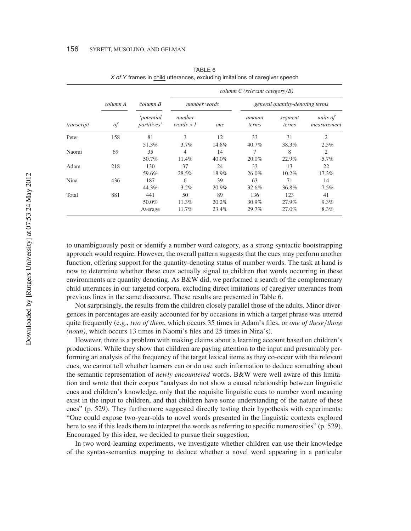|            |                        |                                              | column $C$ (relevant category/ $B$ ) |       |                                 |                  |                                |
|------------|------------------------|----------------------------------------------|--------------------------------------|-------|---------------------------------|------------------|--------------------------------|
| transcript | column A<br>$\sigma f$ | column B<br>'potential<br><i>partitives'</i> | number words                         |       | general quantity-denoting terms |                  |                                |
|            |                        |                                              | number<br>words > 1                  | one   | amount<br>terms                 | segment<br>terms | <i>units of</i><br>measurement |
| Peter      | 158                    | 81                                           | 3                                    | 12    | 33                              | 31               | 2                              |
|            |                        | 51.3%                                        | 3.7%                                 | 14.8% | $40.7\%$                        | 38.3%            | 2.5%                           |
| Naomi      | 69                     | 35                                           | 4                                    | 14    |                                 | 8                | $\overline{2}$                 |
|            |                        | 50.7%                                        | 11.4%                                | 40.0% | 20.0%                           | 22.9%            | 5.7%                           |
| Adam       | 218                    | 130                                          | 37                                   | 24    | 33                              | 13               | 22                             |
|            |                        | 59.6%                                        | 28.5%                                | 18.9% | 26.0%                           | 10.2%            | 17.3%                          |
| Nina       | 436                    | 187                                          | 6                                    | 39    | 63                              | 71               | 14                             |
|            |                        | 44.3%                                        | $3.2\%$                              | 20.9% | 32.6%                           | 36.8%            | 7.5%                           |
| Total      | 881                    | 441                                          | 50                                   | 89    | 136                             | 123              | 41                             |
|            |                        | 50.0%                                        | 11.3%                                | 20.2% | 30.9%                           | 27.9%            | $9.3\%$                        |
|            |                        | Average                                      | 11.7%                                | 23.4% | 29.7%                           | 27.0%            | 8.3%                           |

TABLE 6  $X$  of  $Y$  frames in child utterances, excluding imitations of caregiver speech

to unambiguously posit or identify a number word category, as a strong syntactic bootstrapping approach would require. However, the overall pattern suggests that the cues may perform another function, offering support for the quantity-denoting status of number words. The task at hand is now to determine whether these cues actually signal to children that words occurring in these environments are quantity denoting. As B&W did, we performed a search of the complementary child utterances in our targeted corpora, excluding direct imitations of caregiver utterances from previous lines in the same discourse. These results are presented in Table 6.

Not surprisingly, the results from the children closely parallel those of the adults. Minor divergences in percentages are easily accounted for by occasions in which a target phrase was uttered quite frequently (e.g., *two of them*, which occurs 35 times in Adam's files, or *one of these*/*those (noun)*, which occurs 13 times in Naomi's files and 25 times in Nina's).

However, there is a problem with making claims about a learning account based on children's productions. While they show that children are paying attention to the input and presumably performing an analysis of the frequency of the target lexical items as they co-occur with the relevant cues, we cannot tell whether learners can or do use such information to deduce something about the semantic representation of *newly encountered* words. B&W were well aware of this limitation and wrote that their corpus "analyses do not show a causal relationship between linguistic cues and children's knowledge, only that the requisite linguistic cues to number word meaning exist in the input to children, and that children have some understanding of the nature of these cues" (p. 529). They furthermore suggested directly testing their hypothesis with experiments: "One could expose two-year-olds to novel words presented in the linguistic contexts explored here to see if this leads them to interpret the words as referring to specific numerosities" (p. 529). Encouraged by this idea, we decided to pursue their suggestion.

In two word-learning experiments, we investigate whether children can use their knowledge of the syntax-semantics mapping to deduce whether a novel word appearing in a particular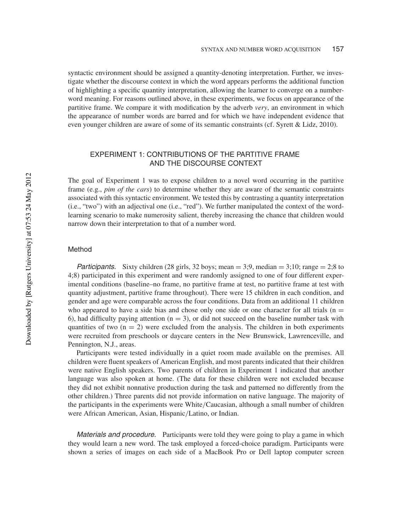syntactic environment should be assigned a quantity-denoting interpretation. Further, we investigate whether the discourse context in which the word appears performs the additional function of highlighting a specific quantity interpretation, allowing the learner to converge on a numberword meaning. For reasons outlined above, in these experiments, we focus on appearance of the partitive frame. We compare it with modification by the adverb *very*, an environment in which the appearance of number words are barred and for which we have independent evidence that even younger children are aware of some of its semantic constraints (cf. Syrett & Lidz, 2010).

# EXPERIMENT 1: CONTRIBUTIONS OF THE PARTITIVE FRAME AND THE DISCOURSE CONTEXT

The goal of Experiment 1 was to expose children to a novel word occurring in the partitive frame (e.g., *pim of the cars*) to determine whether they are aware of the semantic constraints associated with this syntactic environment. We tested this by contrasting a quantity interpretation (i.e., "two") with an adjectival one (i.e., "red"). We further manipulated the context of the wordlearning scenario to make numerosity salient, thereby increasing the chance that children would narrow down their interpretation to that of a number word.

# Method

*Participants.* Sixty children (28 girls, 32 boys; mean  $= 3:9$ , median  $= 3:10$ ; range  $= 2:8$  to 4;8) participated in this experiment and were randomly assigned to one of four different experimental conditions (baseline–no frame, no partitive frame at test, no partitive frame at test with quantity adjustment, partitive frame throughout). There were 15 children in each condition, and gender and age were comparable across the four conditions. Data from an additional 11 children who appeared to have a side bias and chose only one side or one character for all trials ( $n =$ 6), had difficulty paying attention  $(n = 3)$ , or did not succeed on the baseline number task with quantities of two  $(n = 2)$  were excluded from the analysis. The children in both experiments were recruited from preschools or daycare centers in the New Brunswick, Lawrenceville, and Pennington, N.J., areas.

Participants were tested individually in a quiet room made available on the premises. All children were fluent speakers of American English, and most parents indicated that their children were native English speakers. Two parents of children in Experiment 1 indicated that another language was also spoken at home. (The data for these children were not excluded because they did not exhibit nonnative production during the task and patterned no differently from the other children.) Three parents did not provide information on native language. The majority of the participants in the experiments were White/Caucasian, although a small number of children were African American, Asian, Hispanic/Latino, or Indian.

Materials and procedure. Participants were told they were going to play a game in which they would learn a new word. The task employed a forced-choice paradigm. Participants were shown a series of images on each side of a MacBook Pro or Dell laptop computer screen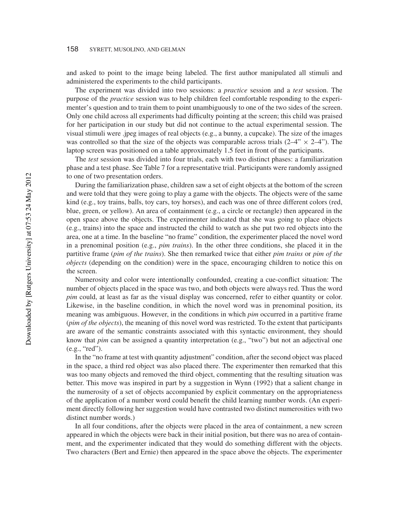and asked to point to the image being labeled. The first author manipulated all stimuli and administered the experiments to the child participants.

The experiment was divided into two sessions: a *practice* session and a *test* session. The purpose of the *practice* session was to help children feel comfortable responding to the experimenter's question and to train them to point unambiguously to one of the two sides of the screen. Only one child across all experiments had difficulty pointing at the screen; this child was praised for her participation in our study but did not continue to the actual experimental session. The visual stimuli were .jpeg images of real objects (e.g., a bunny, a cupcake). The size of the images was controlled so that the size of the objects was comparable across trials  $(2-4" \times 2-4"$ ). The laptop screen was positioned on a table approximately 1.5 feet in front of the participants.

The *test* session was divided into four trials, each with two distinct phases: a familiarization phase and a test phase. See Table 7 for a representative trial. Participants were randomly assigned to one of two presentation orders.

During the familiarization phase, children saw a set of eight objects at the bottom of the screen and were told that they were going to play a game with the objects. The objects were of the same kind (e.g., toy trains, balls, toy cars, toy horses), and each was one of three different colors (red, blue, green, or yellow). An area of containment (e.g., a circle or rectangle) then appeared in the open space above the objects. The experimenter indicated that she was going to place objects (e.g., trains) into the space and instructed the child to watch as she put two red objects into the area, one at a time. In the baseline "no frame" condition, the experimenter placed the novel word in a prenominal position (e.g., *pim trains*). In the other three conditions, she placed it in the partitive frame (*pim of the trains*). She then remarked twice that either *pim trains* or *pim of the objects* (depending on the condition) were in the space, encouraging children to notice this on the screen.

Numerosity and color were intentionally confounded, creating a cue-conflict situation: The number of objects placed in the space was two, and both objects were always red. Thus the word *pim* could, at least as far as the visual display was concerned, refer to either quantity or color. Likewise, in the baseline condition, in which the novel word was in prenominal position, its meaning was ambiguous. However, in the conditions in which *pim* occurred in a partitive frame (*pim of the objects*), the meaning of this novel word was restricted. To the extent that participants are aware of the semantic constraints associated with this syntactic environment, they should know that *pim* can be assigned a quantity interpretation (e.g., "two") but not an adjectival one (e.g., "red").

In the "no frame at test with quantity adjustment" condition, after the second object was placed in the space, a third red object was also placed there. The experimenter then remarked that this was too many objects and removed the third object, commenting that the resulting situation was better. This move was inspired in part by a suggestion in Wynn (1992) that a salient change in the numerosity of a set of objects accompanied by explicit commentary on the appropriateness of the application of a number word could benefit the child learning number words. (An experiment directly following her suggestion would have contrasted two distinct numerosities with two distinct number words.)

In all four conditions, after the objects were placed in the area of containment, a new screen appeared in which the objects were back in their initial position, but there was no area of containment, and the experimenter indicated that they would do something different with the objects. Two characters (Bert and Ernie) then appeared in the space above the objects. The experimenter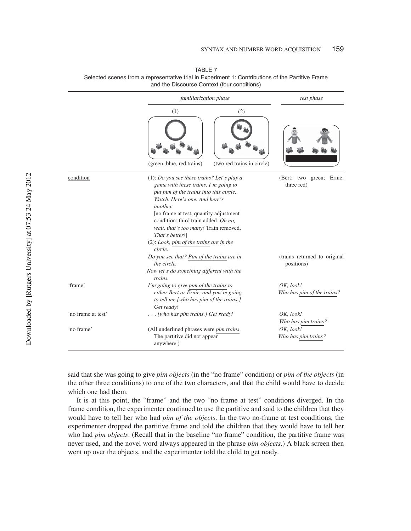|                    | familiarization phase                                                                                                                                                                                                                                                                                                                                                                    |                                         | test phase                                 |  |
|--------------------|------------------------------------------------------------------------------------------------------------------------------------------------------------------------------------------------------------------------------------------------------------------------------------------------------------------------------------------------------------------------------------------|-----------------------------------------|--------------------------------------------|--|
|                    | (1)<br>(2)<br>(green, blue, red trains)<br>(two red trains in circle)                                                                                                                                                                                                                                                                                                                    |                                         |                                            |  |
| condition          | $(1)$ : Do you see these trains? Let's play a<br>game with these trains. I'm going to<br>put pim of the trains into this circle.<br>Watch. Here's one. And here's<br><i>another.</i><br>[no frame at test, quantity adjustment<br>condition: third train added. Oh no,<br>wait, that's too many! Train removed.<br>That's better!]<br>(2): Look, pim of the trains are in the<br>circle. |                                         | (Bert: two green; Ernie:<br>three red)     |  |
|                    | Do you see that? Pim of the trains are in<br>the circle.<br>Now let's do something different with the<br>trains.                                                                                                                                                                                                                                                                         |                                         | (trains returned to original<br>positions) |  |
| 'frame'            | I'm going to give pim of the trains to<br>either Bert or Ernie, and you're going<br>to tell me [who has pim of the trains.]<br>Get ready!                                                                                                                                                                                                                                                | OK, look!<br>Who has pim of the trains? |                                            |  |
| 'no frame at test' | [who has pim trains.] Get ready!                                                                                                                                                                                                                                                                                                                                                         |                                         | OK, look!<br>Who has pim trains?           |  |
| 'no frame'         | (All underlined phrases were <i>pim trains</i> .<br>The partitive did not appear<br>anywhere.)                                                                                                                                                                                                                                                                                           |                                         | OK, look!<br>Who has pim trains?           |  |

TABLE 7 Selected scenes from a representative trial in Experiment 1: Contributions of the Partitive Frame and the Discourse Context (four conditions)

said that she was going to give *pim objects* (in the "no frame" condition) or *pim of the objects* (in the other three conditions) to one of the two characters, and that the child would have to decide which one had them.

It is at this point, the "frame" and the two "no frame at test" conditions diverged. In the frame condition, the experimenter continued to use the partitive and said to the children that they would have to tell her who had *pim of the objects*. In the two no-frame at test conditions, the experimenter dropped the partitive frame and told the children that they would have to tell her who had *pim objects*. (Recall that in the baseline "no frame" condition, the partitive frame was never used, and the novel word always appeared in the phrase *pim objects*.) A black screen then went up over the objects, and the experimenter told the child to get ready.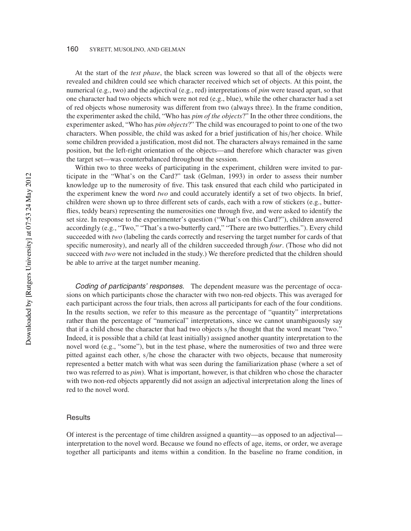#### 160 SYRETT, MUSOLINO, AND GELMAN

At the start of the *test phase*, the black screen was lowered so that all of the objects were revealed and children could see which character received which set of objects. At this point, the numerical (e.g., two) and the adjectival (e.g., red) interpretations of *pim* were teased apart, so that one character had two objects which were not red (e.g., blue), while the other character had a set of red objects whose numerosity was different from two (always three). In the frame condition, the experimenter asked the child, "Who has *pim of the objects*?" In the other three conditions, the experimenter asked, "Who has *pim objects*?" The child was encouraged to point to one of the two characters. When possible, the child was asked for a brief justification of his/her choice. While some children provided a justification, most did not. The characters always remained in the same position, but the left-right orientation of the objects—and therefore which character was given the target set—was counterbalanced throughout the session.

Within two to three weeks of participating in the experiment, children were invited to participate in the "What's on the Card?" task (Gelman, 1993) in order to assess their number knowledge up to the numerosity of five. This task ensured that each child who participated in the experiment knew the word *two* and could accurately identify a set of two objects. In brief, children were shown up to three different sets of cards, each with a row of stickers (e.g., butterflies, teddy bears) representing the numerosities one through five, and were asked to identify the set size. In response to the experimenter's question ("What's on this Card?"), children answered accordingly (e.g., "Two," "That's a two-butterfly card," "There are two butterflies."). Every child succeeded with *two* (labeling the cards correctly and reserving the target number for cards of that specific numerosity), and nearly all of the children succeeded through *four*. (Those who did not succeed with *two* were not included in the study.) We therefore predicted that the children should be able to arrive at the target number meaning.

Coding of participants' responses. The dependent measure was the percentage of occasions on which participants chose the character with two non-red objects. This was averaged for each participant across the four trials, then across all participants for each of the four conditions. In the results section, we refer to this measure as the percentage of "quantity" interpretations rather than the percentage of "numerical" interpretations, since we cannot unambiguously say that if a child chose the character that had two objects s/he thought that the word meant "two." Indeed, it is possible that a child (at least initially) assigned another quantity interpretation to the novel word (e.g., "some"), but in the test phase, where the numerosities of two and three were pitted against each other, s/he chose the character with two objects, because that numerosity represented a better match with what was seen during the familiarization phase (where a set of two was referred to as *pim*). What is important, however, is that children who chose the character with two non-red objects apparently did not assign an adjectival interpretation along the lines of red to the novel word.

#### **Results**

Of interest is the percentage of time children assigned a quantity—as opposed to an adjectival interpretation to the novel word. Because we found no effects of age, items, or order, we average together all participants and items within a condition. In the baseline no frame condition, in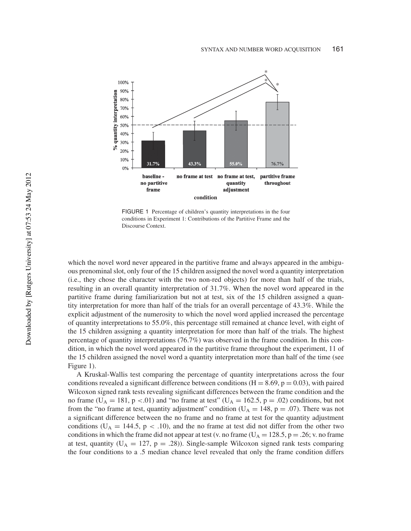

FIGURE 1 Percentage of children's quantity interpretations in the four conditions in Experiment 1: Contributions of the Partitive Frame and the Discourse Context.

which the novel word never appeared in the partitive frame and always appeared in the ambiguous prenominal slot, only four of the 15 children assigned the novel word a quantity interpretation (i.e., they chose the character with the two non-red objects) for more than half of the trials, resulting in an overall quantity interpretation of 31.7%. When the novel word appeared in the partitive frame during familiarization but not at test, six of the 15 children assigned a quantity interpretation for more than half of the trials for an overall percentage of 43.3%. While the explicit adjustment of the numerosity to which the novel word applied increased the percentage of quantity interpretations to 55.0%, this percentage still remained at chance level, with eight of the 15 children assigning a quantity interpretation for more than half of the trials. The highest percentage of quantity interpretations (76.7%) was observed in the frame condition. In this condition, in which the novel word appeared in the partitive frame throughout the experiment, 11 of the 15 children assigned the novel word a quantity interpretation more than half of the time (see Figure 1).

A Kruskal-Wallis test comparing the percentage of quantity interpretations across the four conditions revealed a significant difference between conditions ( $H = 8.69$ ,  $p = 0.03$ ), with paired Wilcoxon signed rank tests revealing significant differences between the frame condition and the no frame ( $U_A = 181$ , p <.01) and "no frame at test" ( $U_A = 162.5$ , p = .02) conditions, but not from the "no frame at test, quantity adjustment" condition ( $U_A = 148$ , p = .07). There was not a significant difference between the no frame and no frame at test for the quantity adjustment conditions ( $U_A = 144.5$ ,  $p < .10$ ), and the no frame at test did not differ from the other two conditions in which the frame did not appear at test (v. no frame  $(U_A = 128.5, p = .26; v.$  no frame at test, quantity ( $U_A = 127$ ,  $p = .28$ )). Single-sample Wilcoxon signed rank tests comparing the four conditions to a .5 median chance level revealed that only the frame condition differs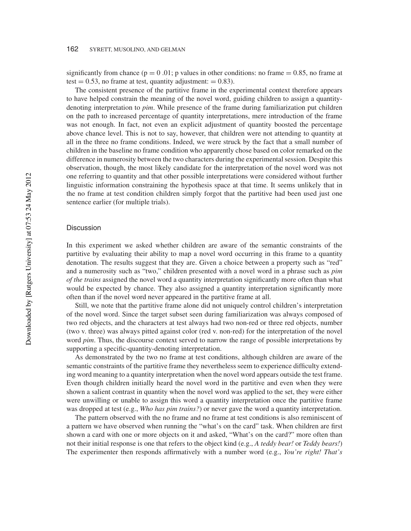significantly from chance ( $p = 0.01$ ; p values in other conditions: no frame = 0.85, no frame at test  $= 0.53$ , no frame at test, quantity adjustment:  $= 0.83$ ).

The consistent presence of the partitive frame in the experimental context therefore appears to have helped constrain the meaning of the novel word, guiding children to assign a quantitydenoting interpretation to *pim*. While presence of the frame during familiarization put children on the path to increased percentage of quantity interpretations, mere introduction of the frame was not enough. In fact, not even an explicit adjustment of quantity boosted the percentage above chance level. This is not to say, however, that children were not attending to quantity at all in the three no frame conditions. Indeed, we were struck by the fact that a small number of children in the baseline no frame condition who apparently chose based on color remarked on the difference in numerosity between the two characters during the experimental session. Despite this observation, though, the most likely candidate for the interpretation of the novel word was not one referring to quantity and that other possible interpretations were considered without further linguistic information constraining the hypothesis space at that time. It seems unlikely that in the no frame at test condition children simply forgot that the partitive had been used just one sentence earlier (for multiple trials).

### **Discussion**

In this experiment we asked whether children are aware of the semantic constraints of the partitive by evaluating their ability to map a novel word occurring in this frame to a quantity denotation. The results suggest that they are. Given a choice between a property such as "red" and a numerosity such as "two," children presented with a novel word in a phrase such as *pim of the trains* assigned the novel word a quantity interpretation significantly more often than what would be expected by chance. They also assigned a quantity interpretation significantly more often than if the novel word never appeared in the partitive frame at all.

Still, we note that the partitive frame alone did not uniquely control children's interpretation of the novel word. Since the target subset seen during familiarization was always composed of two red objects, and the characters at test always had two non-red or three red objects, number (two v. three) was always pitted against color (red v. non-red) for the interpretation of the novel word *pim*. Thus, the discourse context served to narrow the range of possible interpretations by supporting a specific-quantity-denoting interpretation.

As demonstrated by the two no frame at test conditions, although children are aware of the semantic constraints of the partitive frame they nevertheless seem to experience difficulty extending word meaning to a quantity interpretation when the novel word appears outside the test frame. Even though children initially heard the novel word in the partitive and even when they were shown a salient contrast in quantity when the novel word was applied to the set, they were either were unwilling or unable to assign this word a quantity interpretation once the partitive frame was dropped at test (e.g., *Who has pim trains?*) or never gave the word a quantity interpretation.

The pattern observed with the no frame and no frame at test conditions is also reminiscent of a pattern we have observed when running the "what's on the card" task. When children are first shown a card with one or more objects on it and asked, "What's on the card?" more often than not their initial response is one that refers to the object kind (e.g., *A teddy bear!* or *Teddy bears!*) The experimenter then responds affirmatively with a number word (e.g., *You're right! That's*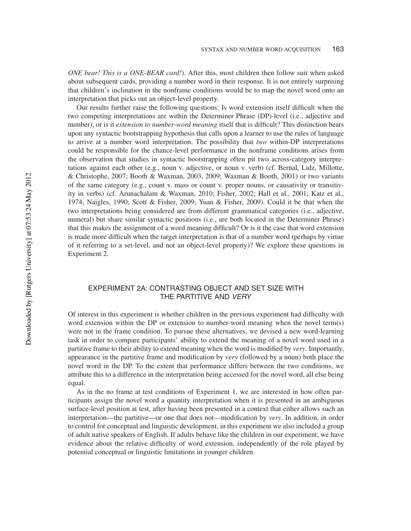*ONE bear! This is a ONE-BEAR card!*). After this, most children then follow suit when asked about subsequent cards, providing a number word in their response. It is not entirely surprising that children's inclination in the nonframe conditions would be to map the novel word onto an interpretation that picks out an object-level property.

Our results further raise the following questions: Is word extension itself difficult when the two competing interpretations are within the Determiner Phrase (DP)-level (i.e., adjective and number), or is it *extension to number-word meaning* itself that is difficult? This distinction bears upon any syntactic bootstrapping hypothesis that calls upon a learner to use the rules of language to arrive at a number word interpretation. The possibility that *two* within-DP interpretations could be responsible for the chance-level performance in the nonframe conditions arises from the observation that studies in syntactic bootstrapping often pit two across-category interpretations against each other (e.g., noun v. adjective, or noun v. verb) (cf. Bernal, Lidz, Millotte, & Christophe, 2007; Booth & Waxman, 2003, 2009; Waxman & Booth, 2001) or two variants of the same category (e.g., count v. mass or count v. proper nouns, or causativity or transitivity in verbs) (cf. Arunachalam & Waxman, 2010; Fisher, 2002; Hall et al., 2001; Katz et al., 1974; Naigles, 1990; Scott & Fisher, 2009; Yuan & Fisher, 2009). Could it be that when the two interpretations being considered are from different grammatical categories (i.e., adjective, numeral) but share similar syntactic positions (i.e., are both located in the Determiner Phrase) that this makes the assignment of a word meaning difficult? Or is it the case that word extension is made more difficult when the target interpretation is that of a number word (perhaps by virtue of it referring to a set-level, and not an object-level property)? We explore these questions in Experiment 2.

# EXPERIMENT 2A: CONTRASTING OBJECT AND SET SIZE WITH THE PARTITIVE AND VERY

Of interest in this experiment is whether children in the previous experiment had difficulty with word extension within the DP or extension to number-word meaning when the novel term(s) were not in the frame condition. To pursue these alternatives, we devised a new word-learning task in order to compare participants' ability to extend the meaning of a novel word used in a partitive frame to their ability to extend meaning when the word is modified by *very*. Importantly, appearance in the partitive frame and modification by *very* (followed by a noun) both place the novel word in the DP. To the extent that performance differs between the two conditions, we attribute this to a difference in the interpretation being accessed for the novel word, all else being equal.

As in the no frame at test conditions of Experiment 1, we are interested in how often participants assign the novel word a quantity interpretation when it is presented in an ambiguous surface-level position at test, after having been presented in a context that either allows such an interpretation—the partitive—or one that does not—modification by *very*. In addition, in order to control for conceptual and linguistic development, in this experiment we also included a group of adult native speakers of English. If adults behave like the children in our experiment, we have evidence about the relative difficulty of word extension, independently of the role played by potential conceptual or linguistic limitations in younger children.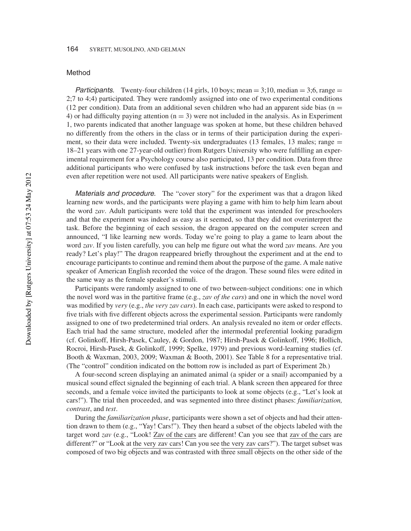#### Method

*Participants.* Twenty-four children (14 girls, 10 boys; mean  $= 3;10$ , median  $= 3;6$ , range  $=$ 2;7 to 4;4) participated. They were randomly assigned into one of two experimental conditions (12 per condition). Data from an additional seven children who had an apparent side bias ( $n =$ 4) or had difficulty paying attention  $(n = 3)$  were not included in the analysis. As in Experiment 1, two parents indicated that another language was spoken at home, but these children behaved no differently from the others in the class or in terms of their participation during the experiment, so their data were included. Twenty-six undergraduates (13 females, 13 males; range  $=$ 18–21 years with one 27-year-old outlier) from Rutgers University who were fulfilling an experimental requirement for a Psychology course also participated, 13 per condition. Data from three additional participants who were confused by task instructions before the task even began and even after repetition were not used. All participants were native speakers of English.

Materials and procedure. The "cover story" for the experiment was that a dragon liked learning new words, and the participants were playing a game with him to help him learn about the word *zav*. Adult participants were told that the experiment was intended for preschoolers and that the experiment was indeed as easy as it seemed, so that they did not overinterpret the task. Before the beginning of each session, the dragon appeared on the computer screen and announced, "I like learning new words. Today we're going to play a game to learn about the word *zav*. If you listen carefully, you can help me figure out what the word *zav* means. Are you ready? Let's play!" The dragon reappeared briefly throughout the experiment and at the end to encourage participants to continue and remind them about the purpose of the game. A male native speaker of American English recorded the voice of the dragon. These sound files were edited in the same way as the female speaker's stimuli.

Participants were randomly assigned to one of two between-subject conditions: one in which the novel word was in the partitive frame (e.g., *zav of the cars*) and one in which the novel word was modified by *very* (e.g., *the very zav cars*). In each case, participants were asked to respond to five trials with five different objects across the experimental session. Participants were randomly assigned to one of two predetermined trial orders. An analysis revealed no item or order effects. Each trial had the same structure, modeled after the intermodal preferential looking paradigm (cf. Golinkoff, Hirsh-Pasek, Cauley, & Gordon, 1987; Hirsh-Pasek & Golinkoff, 1996; Hollich, Rocroi, Hirsh-Pasek, & Golinkoff, 1999; Spelke, 1979) and previous word-learning studies (cf. Booth & Waxman, 2003, 2009; Waxman & Booth, 2001). See Table 8 for a representative trial. (The "control" condition indicated on the bottom row is included as part of Experiment 2b.)

A four-second screen displaying an animated animal (a spider or a snail) accompanied by a musical sound effect signaled the beginning of each trial. A blank screen then appeared for three seconds, and a female voice invited the participants to look at some objects (e.g., "Let's look at cars!"). The trial then proceeded, and was segmented into three distinct phases: *familiarization, contrast*, and *test*.

During the *familiarization phase*, participants were shown a set of objects and had their attention drawn to them (e.g., "Yay! Cars!"). They then heard a subset of the objects labeled with the target word *zav* (e.g., "Look! Zav of the cars are different! Can you see that zav of the cars are different?" or "Look at the very zav cars! Can you see the very zav cars?"). The target subset was composed of two big objects and was contrasted with three small objects on the other side of the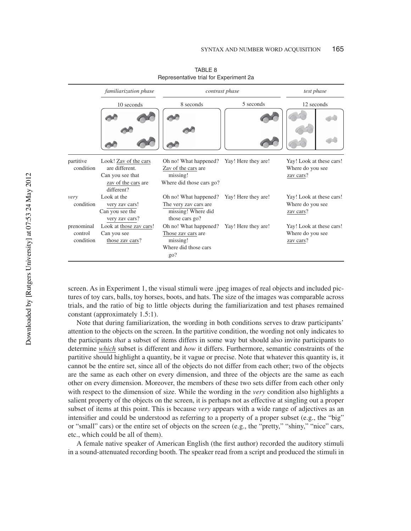|                                    | familiarization phase                                                                            | contrast phase                                                                             |                     | test phase                                                |  |
|------------------------------------|--------------------------------------------------------------------------------------------------|--------------------------------------------------------------------------------------------|---------------------|-----------------------------------------------------------|--|
|                                    | 10 seconds                                                                                       | 8 seconds                                                                                  | 5 seconds           | 12 seconds                                                |  |
|                                    |                                                                                                  |                                                                                            |                     |                                                           |  |
|                                    |                                                                                                  |                                                                                            |                     |                                                           |  |
|                                    |                                                                                                  |                                                                                            |                     |                                                           |  |
| partitive<br>condition             | Look! Zav of the cars<br>are different.<br>Can you see that<br>zav of the cars are<br>different? | Oh no! What happened?<br>Zav of the cars are<br>missing!<br>Where did those cars go?       | Yay! Here they are! | Yay! Look at these cars!<br>Where do you see<br>zav cars? |  |
| very<br>condition                  | Look at the<br>very zav cars!<br>Can you see the<br>very zav cars?                               | Oh no! What happened?<br>The very zav cars are<br>missing! Where did<br>those cars go?     | Yay! Here they are! | Yay! Look at these cars!<br>Where do you see<br>zav cars? |  |
| prenominal<br>control<br>condition | Look at those zav cars!<br>Can you see<br>those zav cars?                                        | Oh no! What happened?<br>Those zay cars are<br>missing!<br>Where did those cars<br>$g_0$ ? | Yay! Here they are! | Yay! Look at these cars!<br>Where do you see<br>zav cars? |  |

TABLE 8 Representative trial for Experiment 2a

screen. As in Experiment 1, the visual stimuli were .jpeg images of real objects and included pictures of toy cars, balls, toy horses, boots, and hats. The size of the images was comparable across trials, and the ratio of big to little objects during the familiarization and test phases remained constant (approximately 1.5:1).

Note that during familiarization, the wording in both conditions serves to draw participants' attention to the objects on the screen. In the partitive condition, the wording not only indicates to the participants *that* a subset of items differs in some way but should also invite participants to determine *which* subset is different and *how* it differs. Furthermore, semantic constraints of the partitive should highlight a quantity, be it vague or precise. Note that whatever this quantity is, it cannot be the entire set, since all of the objects do not differ from each other; two of the objects are the same as each other on every dimension, and three of the objects are the same as each other on every dimension. Moreover, the members of these two sets differ from each other only with respect to the dimension of size. While the wording in the *very* condition also highlights a salient property of the objects on the screen, it is perhaps not as effective at singling out a proper subset of items at this point. This is because *very* appears with a wide range of adjectives as an intensifier and could be understood as referring to a property of a proper subset (e.g., the "big" or "small" cars) or the entire set of objects on the screen (e.g., the "pretty," "shiny," "nice" cars, etc., which could be all of them).

A female native speaker of American English (the first author) recorded the auditory stimuli in a sound-attenuated recording booth. The speaker read from a script and produced the stimuli in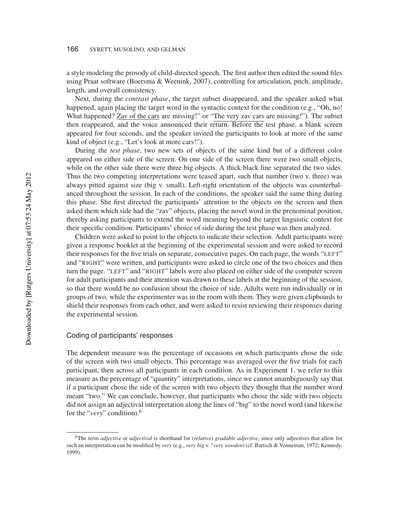a style modeling the prosody of child-directed speech. The first author then edited the sound files using Praat software (Boersma & Weenink, 2007), controlling for articulation, pitch, amplitude, length, and overall consistency.

Next, during the *contrast phase*, the target subset disappeared, and the speaker asked what happened, again placing the target word in the syntactic context for the condition (e.g., "Oh, no! What happened? Zav of the cars are missing!" or "The very zav cars are missing!"). The subset then reappeared, and the voice announced their return. Before the test phase, a blank screen appeared for four seconds, and the speaker invited the participants to look at more of the same kind of object (e.g., "Let's look at more cars!").

During the *test phase*, two new sets of objects of the same kind but of a different color appeared on either side of the screen. On one side of the screen there were two small objects, while on the other side there were three big objects. A thick black line separated the two sides. Thus the two competing interpretations were teased apart, such that number (two v. three) was always pitted against size (big v. small). Left-right orientation of the objects was counterbalanced throughout the session. In each of the conditions, the speaker said the same thing during this phase. She first directed the participants' attention to the objects on the screen and then asked them which side had the "zav" objects, placing the novel word in the prenominal position, thereby asking participants to extend the word meaning beyond the target linguistic context for their specific condition. Participants' choice of side during the test phase was then analyzed.

Children were asked to point to the objects to indicate their selection. Adult participants were given a response booklet at the beginning of the experimental session and were asked to record their responses for the five trials on separate, consecutive pages. On each page, the words "LEFT" and "RIGHT" were written, and participants were asked to circle one of the two choices and then turn the page. "LEFT" and "RIGHT" labels were also placed on either side of the computer screen for adult participants and their attention was drawn to these labels at the beginning of the session, so that there would be no confusion about the choice of side. Adults were run individually or in groups of two, while the experimenter was in the room with them. They were given clipboards to shield their responses from each other, and were asked to resist reviewing their responses during the experimental session.

# Coding of participants' responses

The dependent measure was the percentage of occasions on which participants chose the side of the screen with two small objects. This percentage was averaged over the five trials for each participant, then across all participants in each condition. As in Experiment 1, we refer to this measure as the percentage of "quantity" interpretations, since we cannot unambiguously say that if a participant chose the side of the screen with two objects they thought that the number word meant "two." We can conclude, however, that participants who chose the side with two objects did not assign an adjectival interpretation along the lines of "big" to the novel word (and likewise for the "*very*" condition).<sup>6</sup>

<sup>6</sup>The term *adjective* or *adjectival* is shorthand for (*relative*) *gradable adjective*, since only adjectives that allow for such an interpretation can be modified by *very* (e.g., *very big* v. ∗*very wooden*) (cf. Bartsch & Venneman, 1972; Kennedy, 1999).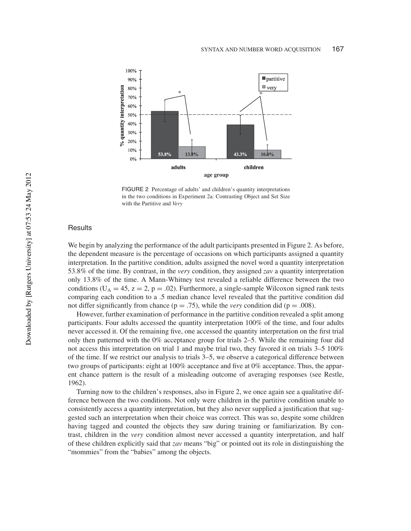

FIGURE 2 Percentage of adults' and children's quantity interpretations in the two conditions in Experiment 2a: Contrasting Object and Set Size with the Partitive and *Very*

### **Results**

We begin by analyzing the performance of the adult participants presented in Figure 2. As before, the dependent measure is the percentage of occasions on which participants assigned a quantity interpretation. In the partitive condition, adults assigned the novel word a quantity interpretation 53.8% of the time. By contrast, in the *very* condition, they assigned *zav* a quantity interpretation only 13.8% of the time. A Mann-Whitney test revealed a reliable difference between the two conditions ( $U_A = 45$ ,  $z = 2$ ,  $p = .02$ ). Furthermore, a single-sample Wilcoxon signed rank tests comparing each condition to a .5 median chance level revealed that the partitive condition did not differ significantly from chance ( $p = .75$ ), while the *very* condition did ( $p = .008$ ).

However, further examination of performance in the partitive condition revealed a split among participants. Four adults accessed the quantity interpretation 100% of the time, and four adults never accessed it. Of the remaining five, one accessed the quantity interpretation on the first trial only then patterned with the  $0\%$  acceptance group for trials 2–5. While the remaining four did not access this interpretation on trial 1 and maybe trial two, they favored it on trials 3–5 100% of the time. If we restrict our analysis to trials 3–5, we observe a categorical difference between two groups of participants: eight at 100% acceptance and five at 0% acceptance. Thus, the apparent chance pattern is the result of a misleading outcome of averaging responses (see Restle, 1962).

Turning now to the children's responses, also in Figure 2, we once again see a qualitative difference between the two conditions. Not only were children in the partitive condition unable to consistently access a quantity interpretation, but they also never supplied a justification that suggested such an interpretation when their choice was correct. This was so, despite some children having tagged and counted the objects they saw during training or familiarization. By contrast, children in the *very* condition almost never accessed a quantity interpretation, and half of these children explicitly said that *zav* means "big" or pointed out its role in distinguishing the "mommies" from the "babies" among the objects.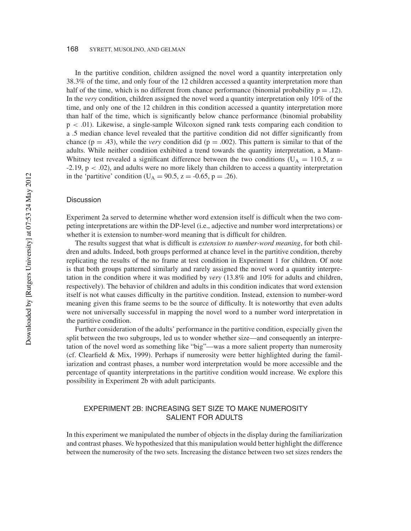#### 168 SYRETT, MUSOLINO, AND GELMAN

In the partitive condition, children assigned the novel word a quantity interpretation only 38.3% of the time, and only four of the 12 children accessed a quantity interpretation more than half of the time, which is no different from chance performance (binomial probability  $p = .12$ ). In the *very* condition, children assigned the novel word a quantity interpretation only 10% of the time, and only one of the 12 children in this condition accessed a quantity interpretation more than half of the time, which is significantly below chance performance (binomial probability p < .01). Likewise, a single-sample Wilcoxon signed rank tests comparing each condition to a .5 median chance level revealed that the partitive condition did not differ significantly from chance ( $p = .43$ ), while the *very* condition did ( $p = .002$ ). This pattern is similar to that of the adults. While neither condition exhibited a trend towards the quantity interpretation, a Mann-Whitney test revealed a significant difference between the two conditions ( $U_A = 110.5$ , z =  $-2.19$ ,  $p < .02$ ), and adults were no more likely than children to access a quantity interpretation in the 'partitive' condition ( $U_A = 90.5$ ,  $z = -0.65$ ,  $p = .26$ ).

# **Discussion**

Experiment 2a served to determine whether word extension itself is difficult when the two competing interpretations are within the DP-level (i.e., adjective and number word interpretations) or whether it is extension to number-word meaning that is difficult for children.

The results suggest that what is difficult is *extension to number-word meaning*, for both children and adults. Indeed, both groups performed at chance level in the partitive condition, thereby replicating the results of the no frame at test condition in Experiment 1 for children. Of note is that both groups patterned similarly and rarely assigned the novel word a quantity interpretation in the condition where it was modified by *very* (13.8% and 10% for adults and children, respectively). The behavior of children and adults in this condition indicates that word extension itself is not what causes difficulty in the partitive condition. Instead, extension to number-word meaning given this frame seems to be the source of difficulty. It is noteworthy that even adults were not universally successful in mapping the novel word to a number word interpretation in the partitive condition.

Further consideration of the adults' performance in the partitive condition, especially given the split between the two subgroups, led us to wonder whether size—and consequently an interpretation of the novel word as something like "big"—was a more salient property than numerosity (cf. Clearfield  $\&$  Mix, 1999). Perhaps if numerosity were better highlighted during the familiarization and contrast phases, a number word interpretation would be more accessible and the percentage of quantity interpretations in the partitive condition would increase. We explore this possibility in Experiment 2b with adult participants.

# EXPERIMENT 2B: INCREASING SET SIZE TO MAKE NUMEROSITY SALIENT FOR ADULTS

In this experiment we manipulated the number of objects in the display during the familiarization and contrast phases. We hypothesized that this manipulation would better highlight the difference between the numerosity of the two sets. Increasing the distance between two set sizes renders the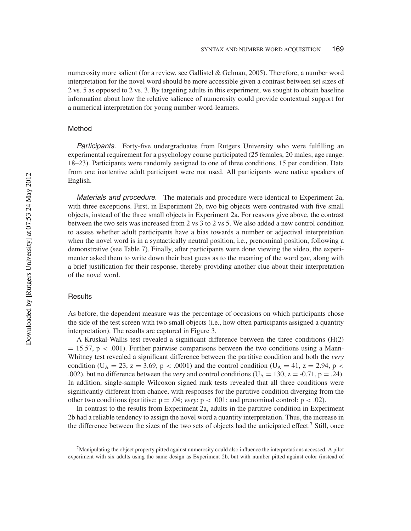numerosity more salient (for a review, see Gallistel & Gelman, 2005). Therefore, a number word interpretation for the novel word should be more accessible given a contrast between set sizes of 2 vs. 5 as opposed to 2 vs. 3. By targeting adults in this experiment, we sought to obtain baseline information about how the relative salience of numerosity could provide contextual support for a numerical interpretation for young number-word-learners.

# Method

Participants. Forty-five undergraduates from Rutgers University who were fulfilling an experimental requirement for a psychology course participated (25 females, 20 males; age range: 18–23). Participants were randomly assigned to one of three conditions, 15 per condition. Data from one inattentive adult participant were not used. All participants were native speakers of English.

Materials and procedure. The materials and procedure were identical to Experiment 2a, with three exceptions. First, in Experiment 2b, two big objects were contrasted with five small objects, instead of the three small objects in Experiment 2a. For reasons give above, the contrast between the two sets was increased from 2 vs 3 to 2 vs 5. We also added a new control condition to assess whether adult participants have a bias towards a number or adjectival interpretation when the novel word is in a syntactically neutral position, i.e., prenominal position, following a demonstrative (see Table 7). Finally, after participants were done viewing the video, the experimenter asked them to write down their best guess as to the meaning of the word *zav*, along with a brief justification for their response, thereby providing another clue about their interpretation of the novel word.

### **Results**

As before, the dependent measure was the percentage of occasions on which participants chose the side of the test screen with two small objects (i.e., how often participants assigned a quantity interpretation). The results are captured in Figure 3.

A Kruskal-Wallis test revealed a significant difference between the three conditions (H(2)  $= 15.57$ , p < .001). Further pairwise comparisons between the two conditions using a Mann-Whitney test revealed a significant difference between the partitive condition and both the *very* condition (U<sub>A</sub> = 23, z = 3.69, p < .0001) and the control condition (U<sub>A</sub> = 41, z = 2.94, p < .002), but no difference between the *very* and control conditions ( $U_A = 130$ ,  $z = -0.71$ ,  $p = .24$ ). In addition, single-sample Wilcoxon signed rank tests revealed that all three conditions were significantly different from chance, with responses for the partitive condition diverging from the other two conditions (partitive:  $p = .04$ ; *very*:  $p < .001$ ; and prenominal control:  $p < .02$ ).

In contrast to the results from Experiment 2a, adults in the partitive condition in Experiment 2b had a reliable tendency to assign the novel word a quantity interpretation. Thus, the increase in the difference between the sizes of the two sets of objects had the anticipated effect.<sup>7</sup> Still, once

 $<sup>7</sup>$ Manipulating the object property pitted against numerosity could also influence the interpretations accessed. A pilot</sup> experiment with six adults using the same design as Experiment 2b, but with number pitted against color (instead of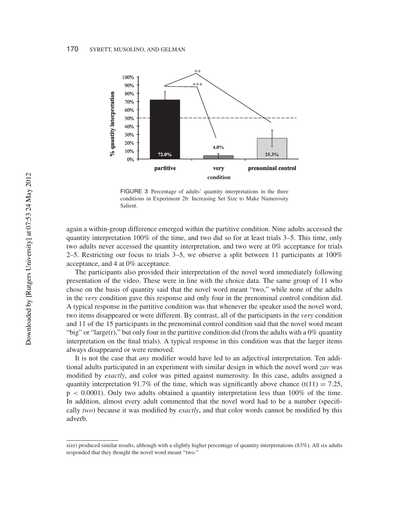

FIGURE 3 Percentage of adults' quantity interpretations in the three conditions in Experiment 2b: Increasing Set Size to Make Numerosity Salient.

again a within-group difference emerged within the partitive condition. Nine adults accessed the quantity interpretation 100% of the time, and two did so for at least trials 3–5. This time, only two adults never accessed the quantity interpretation, and two were at 0% acceptance for trials 2–5. Restricting our focus to trials 3–5, we observe a split between 11 participants at 100% acceptance, and 4 at 0% acceptance.

The participants also provided their interpretation of the novel word immediately following presentation of the video. These were in line with the choice data. The same group of 11 who chose on the basis of quantity said that the novel word meant "two," while none of the adults in the *very* condition gave this response and only four in the prenominal control condition did. A typical response in the partitive condition was that whenever the speaker used the novel word, two items disappeared or were different. By contrast, all of the participants in the *very* condition and 11 of the 15 participants in the prenominal control condition said that the novel word meant "big" or "large(r)," but only four in the partitive condition did (from the adults with a  $0\%$  quantity interpretation on the final trials). A typical response in this condition was that the larger items always disappeared or were removed.

It is not the case that *any* modifier would have led to an adjectival interpretation. Ten additional adults participated in an experiment with similar design in which the novel word *zav* was modified by *exactly*, and color was pitted against numerosity. In this case, adults assigned a quantity interpretation 91.7% of the time, which was significantly above chance (t(11) = 7.25,  $p < 0.0001$ ). Only two adults obtained a quantity interpretation less than 100% of the time. In addition, almost every adult commented that the novel word had to be a number (specifically *two*) because it was modified by *exactly*, and that color words cannot be modified by this adverb.

size) produced similar results, although with a slightly higher percentage of quantity interpretations (83%). All six adults responded that they thought the novel word meant "two."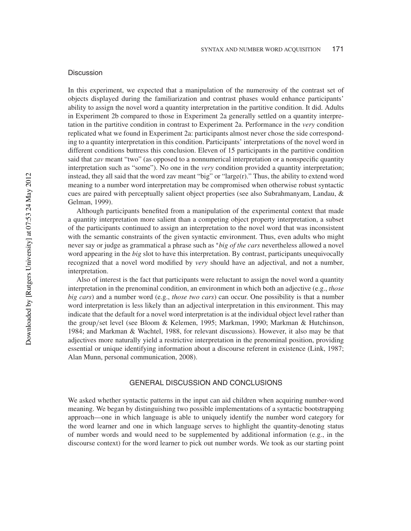#### **Discussion**

In this experiment, we expected that a manipulation of the numerosity of the contrast set of objects displayed during the familiarization and contrast phases would enhance participants' ability to assign the novel word a quantity interpretation in the partitive condition. It did. Adults in Experiment 2b compared to those in Experiment 2a generally settled on a quantity interpretation in the partitive condition in contrast to Experiment 2a. Performance in the *very* condition replicated what we found in Experiment 2a: participants almost never chose the side corresponding to a quantity interpretation in this condition. Participants' interpretations of the novel word in different conditions buttress this conclusion. Eleven of 15 participants in the partitive condition said that *zav* meant "two" (as opposed to a nonnumerical interpretation or a nonspecific quantity interpretation such as "some"). No one in the *very* condition provided a quantity interpretation; instead, they all said that the word zav meant "big" or "large(r)." Thus, the ability to extend word meaning to a number word interpretation may be compromised when otherwise robust syntactic cues are paired with perceptually salient object properties (see also Subrahmanyam, Landau, & Gelman, 1999).

Although participants benefited from a manipulation of the experimental context that made a quantity interpretation more salient than a competing object property interpretation, a subset of the participants continued to assign an interpretation to the novel word that was inconsistent with the semantic constraints of the given syntactic environment. Thus, even adults who might never say or judge as grammatical a phrase such as <sup>∗</sup>*big of the cars* nevertheless allowed a novel word appearing in the *big* slot to have this interpretation. By contrast, participants unequivocally recognized that a novel word modified by *very* should have an adjectival, and not a number, interpretation.

Also of interest is the fact that participants were reluctant to assign the novel word a quantity interpretation in the prenominal condition, an environment in which both an adjective (e.g., *those big cars*) and a number word (e.g., *those two cars*) can occur. One possibility is that a number word interpretation is less likely than an adjectival interpretation in this environment. This may indicate that the default for a novel word interpretation is at the individual object level rather than the group/set level (see Bloom & Kelemen, 1995; Markman, 1990; Markman & Hutchinson, 1984; and Markman & Wachtel, 1988, for relevant discussions). However, it also may be that adjectives more naturally yield a restrictive interpretation in the prenominal position, providing essential or unique identifying information about a discourse referent in existence (Link, 1987; Alan Munn, personal communication, 2008).

# GENERAL DISCUSSION AND CONCLUSIONS

We asked whether syntactic patterns in the input can aid children when acquiring number-word meaning. We began by distinguishing two possible implementations of a syntactic bootstrapping approach—one in which language is able to uniquely identify the number word category for the word learner and one in which language serves to highlight the quantity-denoting status of number words and would need to be supplemented by additional information (e.g., in the discourse context) for the word learner to pick out number words. We took as our starting point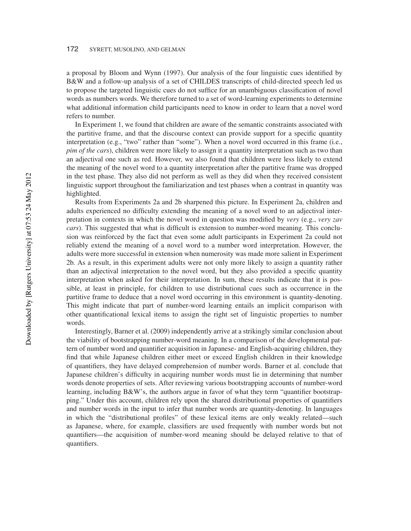a proposal by Bloom and Wynn (1997). Our analysis of the four linguistic cues identified by B&W and a follow-up analysis of a set of CHILDES transcripts of child-directed speech led us to propose the targeted linguistic cues do not suffice for an unambiguous classification of novel words as numbers words. We therefore turned to a set of word-learning experiments to determine what additional information child participants need to know in order to learn that a novel word refers to number.

In Experiment 1, we found that children are aware of the semantic constraints associated with the partitive frame, and that the discourse context can provide support for a specific quantity interpretation (e.g., "two" rather than "some"). When a novel word occurred in this frame (i.e., *pim of the cars*), children were more likely to assign it a quantity interpretation such as two than an adjectival one such as red. However, we also found that children were less likely to extend the meaning of the novel word to a quantity interpretation after the partitive frame was dropped in the test phase. They also did not perform as well as they did when they received consistent linguistic support throughout the familiarization and test phases when a contrast in quantity was highlighted.

Results from Experiments 2a and 2b sharpened this picture. In Experiment 2a, children and adults experienced no difficulty extending the meaning of a novel word to an adjectival interpretation in contexts in which the novel word in question was modified by *very* (e.g., *very zav cars*). This suggested that what is difficult is extension to number-word meaning. This conclusion was reinforced by the fact that even some adult participants in Experiment 2a could not reliably extend the meaning of a novel word to a number word interpretation. However, the adults were more successful in extension when numerosity was made more salient in Experiment 2b. As a result, in this experiment adults were not only more likely to assign a quantity rather than an adjectival interpretation to the novel word, but they also provided a specific quantity interpretation when asked for their interpretation. In sum, these results indicate that it is possible, at least in principle, for children to use distributional cues such as occurrence in the partitive frame to deduce that a novel word occurring in this environment is quantity-denoting. This might indicate that part of number-word learning entails an implicit comparison with other quantificational lexical items to assign the right set of linguistic properties to number words.

Interestingly, Barner et al. (2009) independently arrive at a strikingly similar conclusion about the viability of bootstrapping number-word meaning. In a comparison of the developmental pattern of number word and quantifier acquisition in Japanese- and English-acquiring children, they find that while Japanese children either meet or exceed English children in their knowledge of quantifiers, they have delayed comprehension of number words. Barner et al. conclude that Japanese children's difficulty in acquiring number words must lie in determining that number words denote properties of sets. After reviewing various bootstrapping accounts of number-word learning, including B&W's, the authors argue in favor of what they term "quantifier bootstrapping." Under this account, children rely upon the shared distributional properties of quantifiers and number words in the input to infer that number words are quantity-denoting. In languages in which the "distributional profiles" of these lexical items are only weakly related—such as Japanese, where, for example, classifiers are used frequently with number words but not quantifiers—the acquisition of number-word meaning should be delayed relative to that of quantifiers.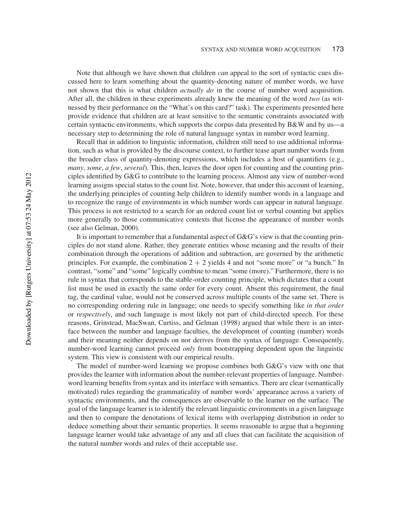Note that although we have shown that children *can* appeal to the sort of syntactic cues discussed here to learn something about the quantity-denoting nature of number words, we have not shown that this is what children *actually do* in the course of number word acquisition. After all, the children in these experiments already knew the meaning of the word *two* (as witnessed by their performance on the "What's on this card?" task). The experiments presented here provide evidence that children are at least sensitive to the semantic constraints associated with certain syntactic environments, which supports the corpus data presented by B&W and by us—a necessary step to determining the role of natural language syntax in number word learning.

Recall that in addition to linguistic information, children still need to use additional information, such as what is provided by the discourse context, to further tease apart number words from the broader class of quantity-denoting expressions, which includes a host of quantifiers (e.g., *many*, *some*, *a few*, *several*). This, then, leaves the door open for counting and the counting principles identified by G&G to contribute to the learning process. Almost any view of number-word learning assigns special status to the count list. Note, however, that under this account of learning, the underlying principles of counting help children to identify number words in a language and to recognize the range of environments in which number words can appear in natural language. This process is not restricted to a search for an ordered count list or verbal counting but applies more generally to those communicative contexts that license the appearance of number words (see also Gelman, 2000).

It is important to remember that a fundamental aspect of G&G's view is that the counting principles do not stand alone. Rather, they generate entities whose meaning and the results of their combination through the operations of addition and subtraction, are governed by the arithmetic principles. For example, the combination  $2 + 2$  yields 4 and not "some more" or "a bunch." In contrast, "some" and "some" logically combine to mean "some (more)." Furthermore, there is no rule in syntax that corresponds to the stable-order counting principle, which dictates that a count list must be used in exactly the same order for every count. Absent this requirement, the final tag, the cardinal value, would not be conserved across multiple counts of the same set. There is no corresponding ordering rule in language; one needs to specify something like *in that order* or *respectively*, and such language is most likely not part of child-directed speech. For these reasons, Grinstead, MacSwan, Curtiss, and Gelman (1998) argued that while there is an interface between the number and language faculties, the development of counting (number) words and their meaning neither depends on nor derives from the syntax of language. Consequently, number-word learning cannot proceed *only* from bootstrapping dependent upon the linguistic system. This view is consistent with our empirical results.

The model of number-word learning we propose combines both G&G's view with one that provides the learner with information about the number-relevant properties of language. Numberword learning benefits from syntax and its interface with semantics. There are clear (semantically motivated) rules regarding the grammaticality of number words' appearance across a variety of syntactic environments, and the consequences are observable to the learner on the surface. The goal of the language learner is to identify the relevant linguistic environments in a given language and then to compare the denotations of lexical items with overlapping distribution in order to deduce something about their semantic properties. It seems reasonable to argue that a beginning language learner would take advantage of any and all clues that can facilitate the acquisition of the natural number words and rules of their acceptable use.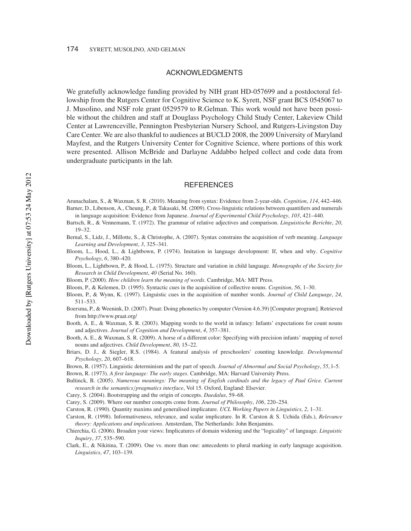#### ACKNOWLEDGMENTS

We gratefully acknowledge funding provided by NIH grant HD-057699 and a postdoctoral fellowship from the Rutgers Center for Cognitive Science to K. Syrett, NSF grant BCS 0545067 to J. Musolino, and NSF role grant 0529579 to R.Gelman. This work would not have been possible without the children and staff at Douglass Psychology Child Study Center, Lakeview Child Center at Lawrenceville, Pennington Presbyterian Nursery School, and Rutgers-Livingston Day Care Center. We are also thankful to audiences at BUCLD 2008, the 2009 University of Maryland Mayfest, and the Rutgers University Center for Cognitive Science, where portions of this work were presented. Allison McBride and Darlayne Addabbo helped collect and code data from undergraduate participants in the lab.

# **REFERENCES**

- Arunachalam, S., & Waxman, S. R. (2010). Meaning from syntax: Evidence from 2-year-olds. *Cognition*, *114*, 442–446. Barner, D., Libenson, A., Cheung, P., & Takasaki, M. (2009). Cross-linguistic relations between quantifiers and numerals in language acquisition: Evidence from Japanese. *Journal of Experimental Child Psychology*, *103*, 421–440.
- Bartsch, R., & Vennemann, T. (1972). The grammar of relative adjectives and comparison. *Linguistische Berichte*, *20*, 19–32.
- Bernal, S., Lidz, J., Millotte, S., & Christophe, A. (2007). Syntax constrains the acquisition of verb meaning. *Language Learning and Development*, *3*, 325–341.
- Bloom, L., Hood, L., & Lightbown, P. (1974). Imitation in language development: If, when and why. *Cognitive Psychology*, *6*, 380–420.
- Bloom, L., Lightbown, P., & Hood, L. (1975). Structure and variation in child language. *Monographs of the Society for Research in Child Development*, *40* (Serial No. 160).
- Bloom, P. (2000). *How children learn the meaning of words*. Cambridge, MA: MIT Press.
- Bloom, P., & Kelemen, D. (1995). Syntactic cues in the acquisition of collective nouns. *Cognition*, *56*, 1–30.
- Bloom, P., & Wynn, K. (1997). Linguistic cues in the acquisition of number words. *Journal of Child Language*, *24*, 511–533.
- Boersma, P., & Weenink, D. (2007). Praat: Doing phonetics by computer (Version 4.6.39) [Computer program]. Retrieved from http://www.praat.org/
- Booth, A. E., & Waxman, S. R. (2003). Mapping words to the world in infancy: Infants' expectations for count nouns and adjectives. *Journal of Cognition and Development*, *4*, 357–381.
- Booth, A. E., & Waxman, S. R. (2009). A horse of a different color: Specifying with precision infants' mapping of novel nouns and adjectives. *Child Development*, *80*, 15–22.
- Briars, D. J., & Siegler, R.S. (1984). A featural analysis of preschoolers' counting knowledge. *Developmental Psychology*, *20*, 607–618.
- Brown, R. (1957). Linguistic determinism and the part of speech. *Journal of Abnormal and Social Psychology*, *55*, l–5.
- Brown, R. (1973). *A first language: The early stages*. Cambridge, MA: Harvard University Press.
- Bultinck, B. (2005). *Numerous meanings: The meaning of English cardinals and the legacy of Paul Grice. Current research in the semantics*/*pragmatics interface*, Vol 15. Oxford, England: Elsevier.
- Carey, S. (2004). Bootstrapping and the origin of concepts. *Daedalus*, 59–68.
- Carey, S. (2009). Where our number concepts come from. *Journal of Philosophy*, *106*, 220–254.
- Carston, R. (1990). Quantity maxims and generalised implicature. *UCL Working Papers in Linguistics*, *2*, 1–31.
- Carston, R. (1998). Informativeness, relevance, and scalar implicature. In R. Carston & S. Uchida (Eds.), *Relevance theory: Applications and implications*. Amsterdam, The Netherlands: John Benjamins.
- Chierchia, G. (2006). Broaden your views: Implicatures of domain widening and the "logicality" of language. *Linguistic Inquiry*, *37*, 535–590.
- Clark, E., & Nikitina, T. (2009). One vs. more than one: antecedents to plural marking in early language acquisition. *Linguistics*, *47*, 103–139.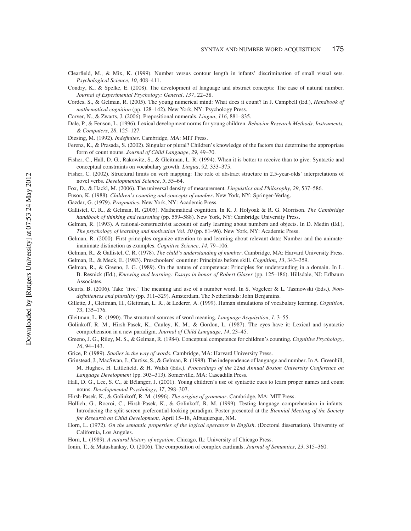- Clearfield, M., & Mix, K. (1999). Number versus contour length in infants' discrimination of small visual sets. *Psychological Science*, *10*, 408–411.
- Condry, K., & Spelke, E. (2008). The development of language and abstract concepts: The case of natural number. *Journal of Experimental Psychology: General*, *137*, 22–38.
- Cordes, S., & Gelman, R. (2005). The young numerical mind: What does it count? In J. Campbell (Ed.), *Handbook of mathematical cognition* (pp. 128–142). New York, NY: Psychology Press.
- Corver, N., & Zwarts, J. (2006). Prepositional numerals. *Lingua*, *116*, 881–835.
- Dale, P., & Fenson, L. (1996). Lexical development norms for young children. *Behavior Research Methods, Instruments, & Computers*, *28*, 125–127.
- Diesing, M. (1992). *Indefinites*. Cambridge, MA: MIT Press.
- Ferenz, K., & Prasada, S. (2002). Singular or plural? Children's knowledge of the factors that determine the appropriate form of count nouns. *Journal of Child Language*, *29*, 49–70.
- Fisher, C., Hall, D. G., Rakowitz, S., & Gleitman, L. R. (1994). When it is better to receive than to give: Syntactic and conceptual constraints on vocabulary growth. *Lingua*, *92*, 333–375.
- Fisher, C. (2002). Structural limits on verb mapping: The role of abstract structure in 2.5-year-olds' interpretations of novel verbs. *Developmental Science*, *5*, 55–64.
- Fox, D., & Hackl, M. (2006). The universal density of measurement. *Linguistics and Philosophy*, *29*, 537–586.
- Fuson, K. (1988). *Children's counting and concepts of number*. New York, NY: Springer-Verlag.
- Gazdar, G. (1979). *Pragmatics*. New York, NY: Academic Press.
- Gallistel, C. R., & Gelman, R. (2005). Mathematical cognition. In K. J. Holyoak & R. G. Morrison. *The Cambridge handbook of thinking and reasoning* (pp. 559–588). New York, NY: Cambridge University Press.
- Gelman, R. (1993). A rational-constructivist account of early learning about numbers and objects. In D. Medin (Ed.), *The psychology of learning and motivation Vol. 30* (pp. 61–96). New York, NY: Academic Press.
- Gelman, R. (2000). First principles organize attention to and learning about relevant data: Number and the animateinanimate distinction as examples. *Cognitive Science*, *14*, 79–106.
- Gelman, R., & Gallistel, C. R. (1978). *The child's understanding of number*. Cambridge, MA: Harvard University Press.
- Gelman, R., & Meck, E. (1983). Preschoolers' counting: Principles before skill. *Cognition*, *13*, 343–359.
- Gelman, R., & Greeno, J. G. (1989). On the nature of competence: Principles for understanding in a domain. In L. B. Resnick (Ed.), *Knowing and learning: Essays in honor of Robert Glaser* (pp. 125–186). Hillsdale, NJ: Erlbaum Associates.
- Geurts, B. (2006). Take 'five.' The meaning and use of a number word. In S. Vogeleer & L. Tasmowski (Eds.), *Nondefiniteness and plurality* (pp. 311–329). Amsterdam, The Netherlands: John Benjamins.
- Gillette, J., Gleitman, H., Gleitman, L. R., & Lederer, A. (1999). Human simulations of vocabulary learning. *Cognition*, *73*, 135–176.
- Gleitman, L. R. (1990). The structural sources of word meaning. *Language Acquisition*, *1*, 3–55.
- Golinkoff, R. M., Hirsh-Pasek, K., Cauley, K. M., & Gordon, L. (1987). The eyes have it: Lexical and syntactic comprehension in a new paradigm. *Journal of Child Language*, *14*, 23–45.
- Greeno, J. G., Riley, M. S., & Gelman, R. (1984). Conceptual competence for children's counting. *Cognitive Psychology*, *16*, 94–143.
- Grice, P. (1989). *Studies in the way of words*. Cambridge, MA: Harvard University Press.
- Grinstead, J., MacSwan, J., Curtiss, S., & Gelman, R. (1998). The independence of language and number. In A. Greenhill, M. Hughes, H. Littlefield, & H. Walsh (Eds.), *Proceedings of the 22nd Annual Boston University Conference on Language Development* (pp. 303–313). Somerville, MA: Cascadilla Press.
- Hall, D. G., Lee, S. C., & Bélanger, J. (2001). Young children's use of syntactic cues to learn proper names and count nouns. *Developmental Psychology*, *37*, 298–307.
- Hirsh-Pasek, K., & Golinkoff, R. M. (1996). *The origins of grammar*. Cambridge, MA: MIT Press.
- Hollich, G., Rocroi, C., Hirsh-Pasek, K., & Golinkoff, R. M. (1999). Testing language comprehension in infants: Introducing the split-screen preferential-looking paradigm. Poster presented at the *Biennial Meeting of the Society for Research on Child Development,* April 15–18, Albuquerque, NM.
- Horn, L. (1972). *On the semantic properties of the logical operators in English*. (Doctoral dissertation). University of California, Los Angeles.
- Horn, L. (1989). *A natural history of negation*. Chicago, IL: University of Chicago Press.
- Ionin, T., & Matushanksy, O. (2006). The composition of complex cardinals. *Journal of Semantics*, *23*, 315–360.